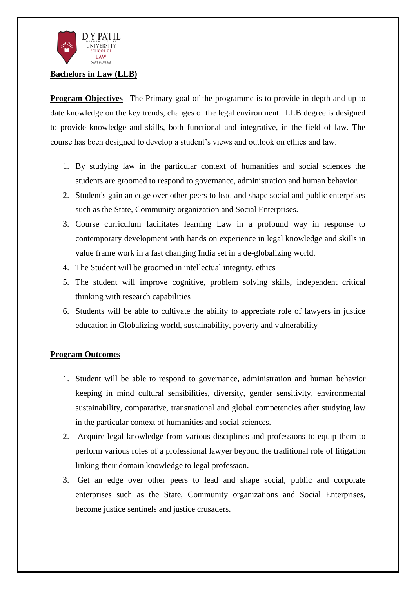

#### **Bachelors in Law (LLB)**

**Program Objectives** –The Primary goal of the programme is to provide in-depth and up to date knowledge on the key trends, changes of the legal environment. LLB degree is designed to provide knowledge and skills, both functional and integrative, in the field of law. The course has been designed to develop a student's views and outlook on ethics and law.

- 1. By studying law in the particular context of humanities and social sciences the students are groomed to respond to governance, administration and human behavior.
- 2. Student's gain an edge over other peers to lead and shape social and public enterprises such as the State, Community organization and Social Enterprises.
- 3. Course curriculum facilitates learning Law in a profound way in response to contemporary development with hands on experience in legal knowledge and skills in value frame work in a fast changing India set in a de-globalizing world.
- 4. The Student will be groomed in intellectual integrity, ethics
- 5. The student will improve cognitive, problem solving skills, independent critical thinking with research capabilities
- 6. Students will be able to cultivate the ability to appreciate role of lawyers in justice education in Globalizing world, sustainability, poverty and vulnerability

### **Program Outcomes**

- 1. Student will be able to respond to governance, administration and human behavior keeping in mind cultural sensibilities, diversity, gender sensitivity, environmental sustainability, comparative, transnational and global competencies after studying law in the particular context of humanities and social sciences.
- 2. Acquire legal knowledge from various disciplines and professions to equip them to perform various roles of a professional lawyer beyond the traditional role of litigation linking their domain knowledge to legal profession.
- 3. Get an edge over other peers to lead and shape social, public and corporate enterprises such as the State, Community organizations and Social Enterprises, become justice sentinels and justice crusaders.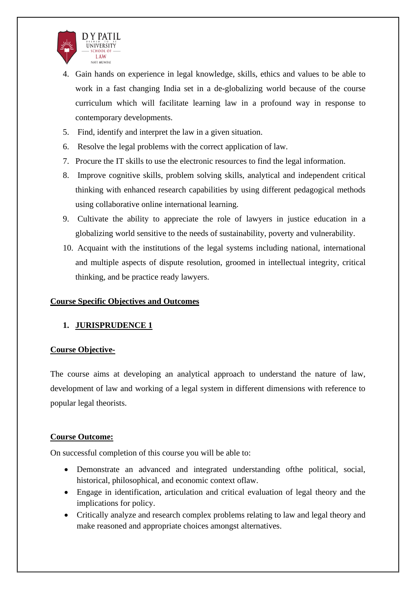

- 4. Gain hands on experience in legal knowledge, skills, ethics and values to be able to work in a fast changing India set in a de-globalizing world because of the course curriculum which will facilitate learning law in a profound way in response to contemporary developments.
- 5. Find, identify and interpret the law in a given situation.
- 6. Resolve the legal problems with the correct application of law.
- 7. Procure the IT skills to use the electronic resources to find the legal information.
- 8. Improve cognitive skills, problem solving skills, analytical and independent critical thinking with enhanced research capabilities by using different pedagogical methods using collaborative online international learning.
- 9. Cultivate the ability to appreciate the role of lawyers in justice education in a globalizing world sensitive to the needs of sustainability, poverty and vulnerability.
- 10. Acquaint with the institutions of the legal systems including national, international and multiple aspects of dispute resolution, groomed in intellectual integrity, critical thinking, and be practice ready lawyers.

#### **Course Specific Objectives and Outcomes**

### **1. JURISPRUDENCE 1**

#### **Course Objective-**

The course aims at developing an analytical approach to understand the nature of law, development of law and working of a legal system in different dimensions with reference to popular legal theorists.

#### **Course Outcome:**

On successful completion of this course you will be able to:

- Demonstrate an advanced and integrated understanding ofthe political, social, historical, philosophical, and economic context oflaw.
- Engage in identification, articulation and critical evaluation of legal theory and the implications for policy.
- Critically analyze and research complex problems relating to law and legal theory and make reasoned and appropriate choices amongst alternatives.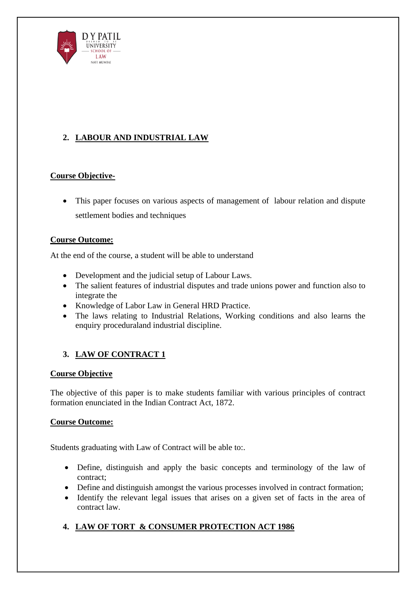

# **2. LABOUR AND INDUSTRIAL LAW**

## **Course Objective-**

• This paper focuses on various aspects of management of labour relation and dispute settlement bodies and techniques

### **Course Outcome:**

At the end of the course, a student will be able to understand

- Development and the judicial setup of Labour Laws.
- The salient features of industrial disputes and trade unions power and function also to integrate the
- Knowledge of Labor Law in General HRD Practice.
- The laws relating to Industrial Relations, Working conditions and also learns the enquiry proceduraland industrial discipline.

# **3. LAW OF CONTRACT 1**

### **Course Objective**

The objective of this paper is to make students familiar with various principles of contract formation enunciated in the Indian Contract Act, 1872.

## **Course Outcome:**

Students graduating with Law of Contract will be able to:.

- Define, distinguish and apply the basic concepts and terminology of the law of contract;
- Define and distinguish amongst the various processes involved in contract formation;
- Identify the relevant legal issues that arises on a given set of facts in the area of contract law.

# **4. LAW OF TORT & CONSUMER PROTECTION ACT 1986**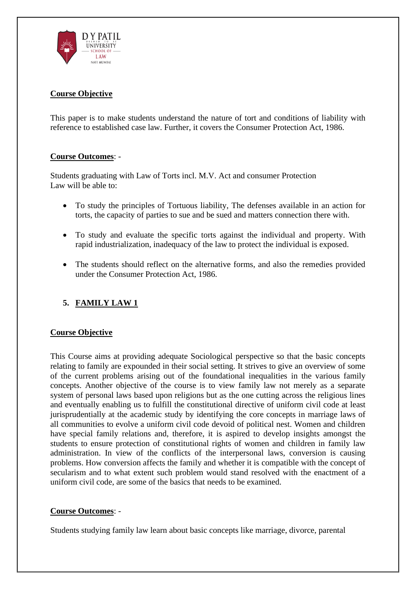

### **Course Objective**

This paper is to make students understand the nature of tort and conditions of liability with reference to established case law. Further, it covers the Consumer Protection Act, 1986.

#### **Course Outcomes**: -

Students graduating with Law of Torts incl. M.V. Act and consumer Protection Law will be able to:

- To study the principles of Tortuous liability, The defenses available in an action for torts, the capacity of parties to sue and be sued and matters connection there with.
- To study and evaluate the specific torts against the individual and property. With rapid industrialization, inadequacy of the law to protect the individual is exposed.
- The students should reflect on the alternative forms, and also the remedies provided under the Consumer Protection Act, 1986.

## **5. FAMILY LAW 1**

#### **Course Objective**

This Course aims at providing adequate Sociological perspective so that the basic concepts relating to family are expounded in their social setting. It strives to give an overview of some of the current problems arising out of the foundational inequalities in the various family concepts. Another objective of the course is to view family law not merely as a separate system of personal laws based upon religions but as the one cutting across the religious lines and eventually enabling us to fulfill the constitutional directive of uniform civil code at least jurisprudentially at the academic study by identifying the core concepts in marriage laws of all communities to evolve a uniform civil code devoid of political nest. Women and children have special family relations and, therefore, it is aspired to develop insights amongst the students to ensure protection of constitutional rights of women and children in family law administration. In view of the conflicts of the interpersonal laws, conversion is causing problems. How conversion affects the family and whether it is compatible with the concept of secularism and to what extent such problem would stand resolved with the enactment of a uniform civil code, are some of the basics that needs to be examined.

#### **Course Outcomes**: -

Students studying family law learn about basic concepts like marriage, divorce, parental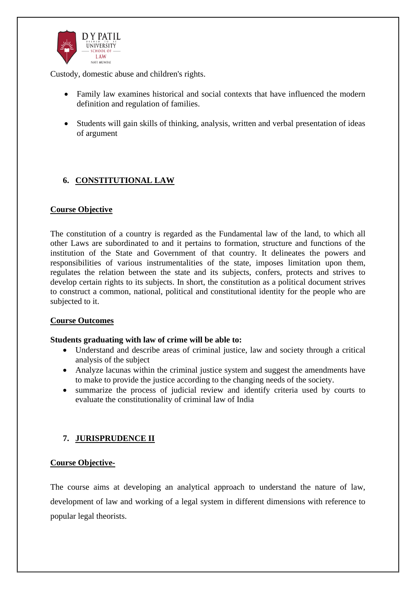

Custody, domestic abuse and children's rights.

- Family law examines historical and social contexts that have influenced the modern definition and regulation of families.
- Students will gain skills of thinking, analysis, written and verbal presentation of ideas of argument

# **6. CONSTITUTIONAL LAW**

#### **Course Objective**

The constitution of a country is regarded as the Fundamental law of the land, to which all other Laws are subordinated to and it pertains to formation, structure and functions of the institution of the State and Government of that country. It delineates the powers and responsibilities of various instrumentalities of the state, imposes limitation upon them, regulates the relation between the state and its subjects, confers, protects and strives to develop certain rights to its subjects. In short, the constitution as a political document strives to construct a common, national, political and constitutional identity for the people who are subjected to it.

#### **Course Outcomes**

#### **Students graduating with law of crime will be able to:**

- Understand and describe areas of criminal justice, law and society through a critical analysis of the subject
- Analyze lacunas within the criminal justice system and suggest the amendments have to make to provide the justice according to the changing needs of the society.
- summarize the process of judicial review and identify criteria used by courts to evaluate the constitutionality of criminal law of India

## **7. JURISPRUDENCE II**

#### **Course Objective-**

The course aims at developing an analytical approach to understand the nature of law, development of law and working of a legal system in different dimensions with reference to popular legal theorists.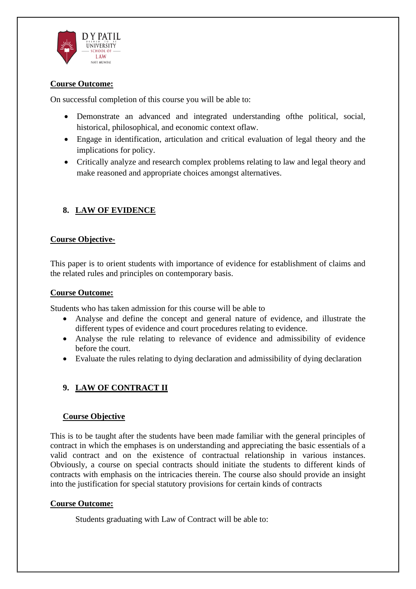

### **Course Outcome:**

On successful completion of this course you will be able to:

- Demonstrate an advanced and integrated understanding ofthe political, social, historical, philosophical, and economic context oflaw.
- Engage in identification, articulation and critical evaluation of legal theory and the implications for policy.
- Critically analyze and research complex problems relating to law and legal theory and make reasoned and appropriate choices amongst alternatives.

# **8. LAW OF EVIDENCE**

### **Course Objective-**

This paper is to orient students with importance of evidence for establishment of claims and the related rules and principles on contemporary basis.

#### **Course Outcome:**

Students who has taken admission for this course will be able to

- Analyse and define the concept and general nature of evidence, and illustrate the different types of evidence and court procedures relating to evidence.
- Analyse the rule relating to relevance of evidence and admissibility of evidence before the court.
- Evaluate the rules relating to dying declaration and admissibility of dying declaration

# **9. LAW OF CONTRACT II**

### **Course Objective**

This is to be taught after the students have been made familiar with the general principles of contract in which the emphases is on understanding and appreciating the basic essentials of a valid contract and on the existence of contractual relationship in various instances. Obviously, a course on special contracts should initiate the students to different kinds of contracts with emphasis on the intricacies therein. The course also should provide an insight into the justification for special statutory provisions for certain kinds of contracts

### **Course Outcome:**

Students graduating with Law of Contract will be able to: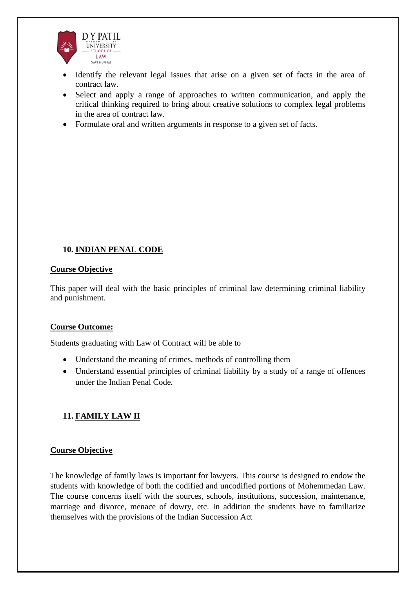

- Identify the relevant legal issues that arise on a given set of facts in the area of contract law.
- Select and apply a range of approaches to written communication, and apply the critical thinking required to bring about creative solutions to complex legal problems in the area of contract law.
- Formulate oral and written arguments in response to a given set of facts.

## **10. INDIAN PENAL CODE**

#### **Course Objective**

This paper will deal with the basic principles of criminal law determining criminal liability and punishment.

### **Course Outcome:**

Students graduating with Law of Contract will be able to

- Understand the meaning of crimes, methods of controlling them
- Understand essential principles of criminal liability by a study of a range of offences under the Indian Penal Code.

## **11. FAMILY LAW II**

### **Course Objective**

The knowledge of family laws is important for lawyers. This course is designed to endow the students with knowledge of both the codified and uncodified portions of Mohemmedan Law. The course concerns itself with the sources, schools, institutions, succession, maintenance, marriage and divorce, menace of dowry, etc. In addition the students have to familiarize themselves with the provisions of the Indian Succession Act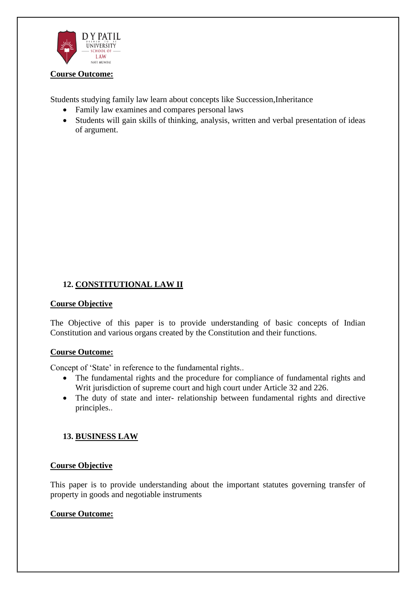

#### **Course Outcome:**

Students studying family law learn about concepts like Succession,Inheritance

- Family law examines and compares personal laws
- Students will gain skills of thinking, analysis, written and verbal presentation of ideas of argument.

## **12. CONSTITUTIONAL LAW II**

#### **Course Objective**

The Objective of this paper is to provide understanding of basic concepts of Indian Constitution and various organs created by the Constitution and their functions.

#### **Course Outcome:**

Concept of 'State' in reference to the fundamental rights..

- The fundamental rights and the procedure for compliance of fundamental rights and Writ jurisdiction of supreme court and high court under Article 32 and 226.
- The duty of state and inter- relationship between fundamental rights and directive principles..

#### **13. BUSINESS LAW**

#### **Course Objective**

This paper is to provide understanding about the important statutes governing transfer of property in goods and negotiable instruments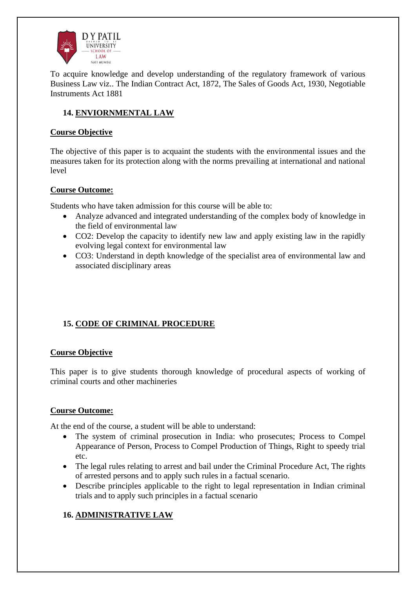

To acquire knowledge and develop understanding of the regulatory framework of various Business Law viz.. The Indian Contract Act, 1872, The Sales of Goods Act, 1930, Negotiable Instruments Act 1881

## **14. ENVIORNMENTAL LAW**

### **Course Objective**

The objective of this paper is to acquaint the students with the environmental issues and the measures taken for its protection along with the norms prevailing at international and national level

### **Course Outcome:**

Students who have taken admission for this course will be able to:

- Analyze advanced and integrated understanding of the complex body of knowledge in the field of environmental law
- CO2: Develop the capacity to identify new law and apply existing law in the rapidly evolving legal context for environmental law
- CO3: Understand in depth knowledge of the specialist area of environmental law and associated disciplinary areas

## **15. CODE OF CRIMINAL PROCEDURE**

### **Course Objective**

This paper is to give students thorough knowledge of procedural aspects of working of criminal courts and other machineries

### **Course Outcome:**

At the end of the course, a student will be able to understand:

- The system of criminal prosecution in India: who prosecutes; Process to Compel Appearance of Person, Process to Compel Production of Things, Right to speedy trial etc.
- The legal rules relating to arrest and bail under the Criminal Procedure Act, The rights of arrested persons and to apply such rules in a factual scenario.
- Describe principles applicable to the right to legal representation in Indian criminal trials and to apply such principles in a factual scenario

# **16. ADMINISTRATIVE LAW**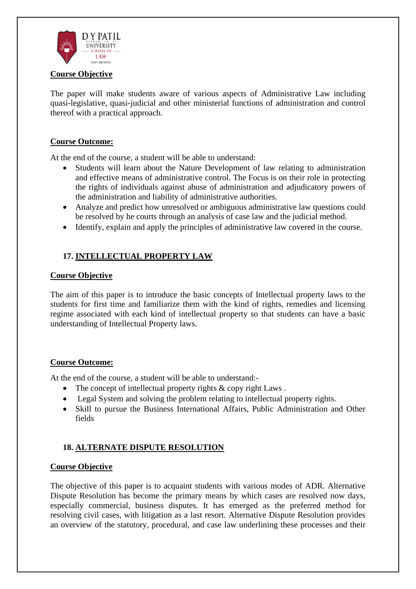

#### **Course Objective**

The paper will make students aware of various aspects of Administrative Law including quasi-legislative, quasi-judicial and other ministerial functions of administration and control thereof with a practical approach.

#### **Course Outcome:**

At the end of the course, a student will be able to understand:

- Students will learn about the Nature Development of law relating to administration and effective means of administrative control. The Focus is on their role in protecting the rights of individuals against abuse of administration and adjudicatory powers of the administration and liability of administrative authorities.
- Analyze and predict how unresolved or ambiguous administrative law questions could be resolved by he courts through an analysis of case law and the judicial method.
- Identify, explain and apply the principles of administrative law covered in the course.

### **17. INTELLECTUAL PROPERTY LAW**

#### **Course Objective**

The aim of this paper is to introduce the basic concepts of Intellectual property laws to the students for first time and familiarize them with the kind of rights, remedies and licensing regime associated with each kind of intellectual property so that students can have a basic understanding of Intellectual Property laws.

#### **Course Outcome:**

At the end of the course, a student will be able to understand:-

- The concept of intellectual property rights & copy right Laws.
- Legal System and solving the problem relating to intellectual property rights.
- Skill to pursue the Business International Affairs, Public Administration and Other fields

## **18. ALTERNATE DISPUTE RESOLUTION**

#### **Course Objective**

The objective of this paper is to acquaint students with various modes of ADR. Alternative Dispute Resolution has become the primary means by which cases are resolved now days, especially commercial, business disputes. It has emerged as the preferred method for resolving civil cases, with litigation as a last resort. Alternative Dispute Resolution provides an overview of the statutory, procedural, and case law underlining these processes and their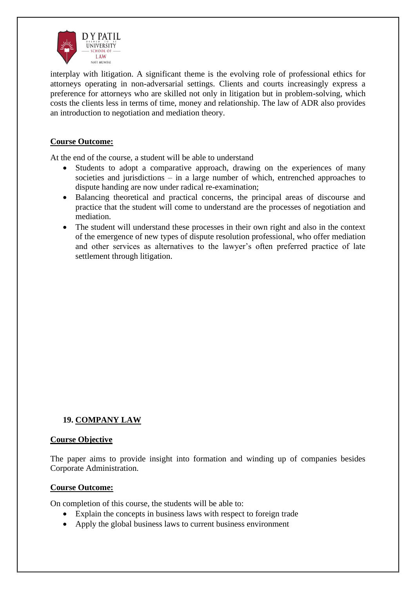

interplay with litigation. A significant theme is the evolving role of professional ethics for attorneys operating in non-adversarial settings. Clients and courts increasingly express a preference for attorneys who are skilled not only in litigation but in problem-solving, which costs the clients less in terms of time, money and relationship. The law of ADR also provides an introduction to negotiation and mediation theory.

#### **Course Outcome:**

At the end of the course, a student will be able to understand

- Students to adopt a comparative approach, drawing on the experiences of many societies and jurisdictions – in a large number of which, entrenched approaches to dispute handing are now under radical re-examination;
- Balancing theoretical and practical concerns, the principal areas of discourse and practice that the student will come to understand are the processes of negotiation and mediation.
- The student will understand these processes in their own right and also in the context of the emergence of new types of dispute resolution professional, who offer mediation and other services as alternatives to the lawyer's often preferred practice of late settlement through litigation.

### **19. COMPANY LAW**

#### **Course Objective**

The paper aims to provide insight into formation and winding up of companies besides Corporate Administration.

#### **Course Outcome:**

On completion of this course, the students will be able to:

- Explain the concepts in business laws with respect to foreign trade
- Apply the global business laws to current business environment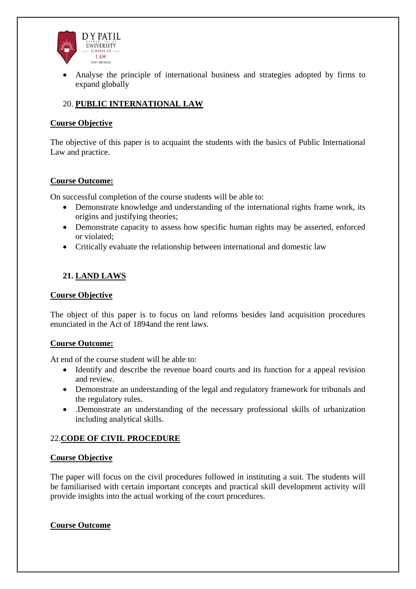

• Analyse the principle of international business and strategies adopted by firms to expand globally

## 20. **PUBLIC INTERNATIONAL LAW**

#### **Course Objective**

The objective of this paper is to acquaint the students with the basics of Public International Law and practice.

#### **Course Outcome:**

On successful completion of the course students will be able to:

- Demonstrate knowledge and understanding of the international rights frame work, its origins and justifying theories;
- Demonstrate capacity to assess how specific human rights may be asserted, enforced or violated;
- Critically evaluate the relationship between international and domestic law

## **21. LAND LAWS**

#### **Course Objective**

The object of this paper is to focus on land reforms besides land acquisition procedures enunciated in the Act of 1894and the rent laws.

#### **Course Outcome:**

At end of the course student will be able to:

- Identify and describe the revenue board courts and its function for a appeal revision and review.
- Demonstrate an understanding of the legal and regulatory framework for tribunals and the regulatory rules.
- .Demonstrate an understanding of the necessary professional skills of urbanization including analytical skills.

### 22.**CODE OF CIVIL PROCEDURE**

#### **Course Objective**

The paper will focus on the civil procedures followed in instituting a suit. The students will be familiarised with certain important concepts and practical skill development activity will provide insights into the actual working of the court procedures.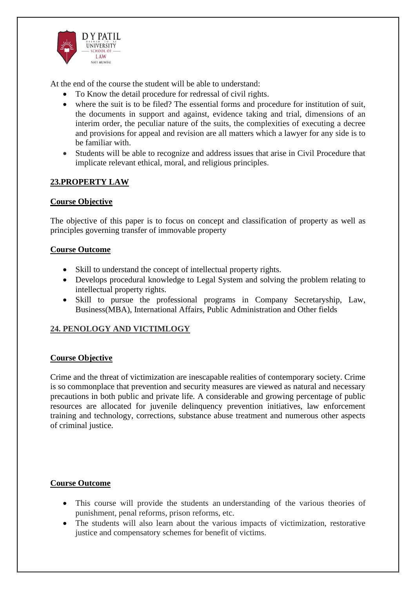

At the end of the course the student will be able to understand:

- To Know the detail procedure for redressal of civil rights.
- where the suit is to be filed? The essential forms and procedure for institution of suit, the documents in support and against, evidence taking and trial, dimensions of an interim order, the peculiar nature of the suits, the complexities of executing a decree and provisions for appeal and revision are all matters which a lawyer for any side is to be familiar with.
- Students will be able to recognize and address issues that arise in Civil Procedure that implicate relevant ethical, moral, and religious principles.

### **23.PROPERTY LAW**

### **Course Objective**

The objective of this paper is to focus on concept and classification of property as well as principles governing transfer of immovable property

#### **Course Outcome**

- Skill to understand the concept of intellectual property rights.
- Develops procedural knowledge to Legal System and solving the problem relating to intellectual property rights.
- Skill to pursue the professional programs in Company Secretaryship, Law, Business(MBA), International Affairs, Public Administration and Other fields

### **24. PENOLOGY AND VICTIMLOGY**

### **Course Objective**

Crime and the threat of victimization are inescapable realities of contemporary society. Crime is so commonplace that prevention and security measures are viewed as natural and necessary precautions in both public and private life. A considerable and growing percentage of public resources are allocated for juvenile delinquency prevention initiatives, law enforcement training and technology, corrections, substance abuse treatment and numerous other aspects of criminal justice.

- This course will provide the students an understanding of the various theories of punishment, penal reforms, prison reforms, etc.
- The students will also learn about the various impacts of victimization, restorative justice and compensatory schemes for benefit of victims.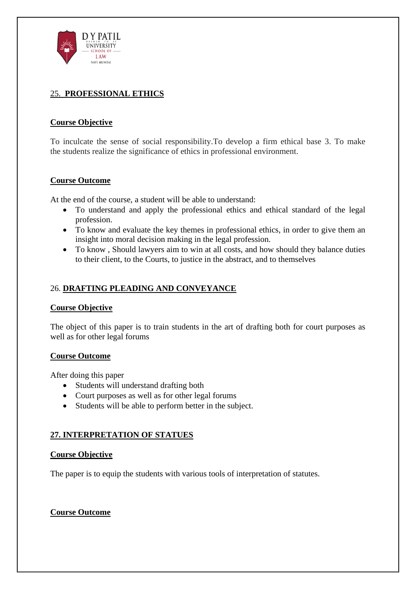

## 25. **PROFESSIONAL ETHICS**

### **Course Objective**

To inculcate the sense of social responsibility.To develop a firm ethical base 3. To make the students realize the significance of ethics in professional environment.

#### **Course Outcome**

At the end of the course, a student will be able to understand:

- To understand and apply the professional ethics and ethical standard of the legal profession.
- To know and evaluate the key themes in professional ethics, in order to give them an insight into moral decision making in the legal profession.
- To know , Should lawyers aim to win at all costs, and how should they balance duties to their client, to the Courts, to justice in the abstract, and to themselves

### 26. **DRAFTING PLEADING AND CONVEYANCE**

#### **Course Objective**

The object of this paper is to train students in the art of drafting both for court purposes as well as for other legal forums

#### **Course Outcome**

After doing this paper

- Students will understand drafting both
- Court purposes as well as for other legal forums
- Students will be able to perform better in the subject.

### **27. INTERPRETATION OF STATUES**

#### **Course Objective**

The paper is to equip the students with various tools of interpretation of statutes.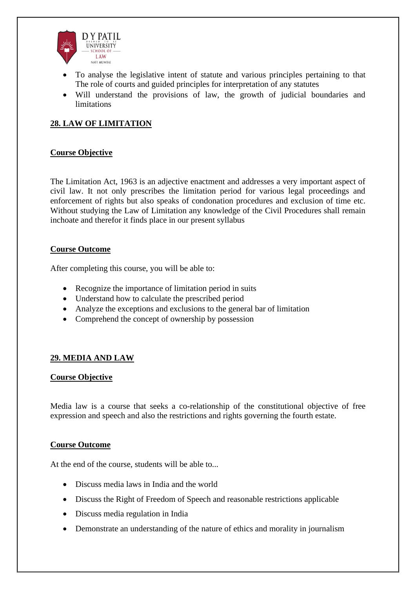

- To analyse the legislative intent of statute and various principles pertaining to that The role of courts and guided principles for interpretation of any statutes
- Will understand the provisions of law, the growth of judicial boundaries and limitations

# **28. LAW OF LIMITATION**

### **Course Objective**

The Limitation Act, 1963 is an adjective enactment and addresses a very important aspect of civil law. It not only prescribes the limitation period for various legal proceedings and enforcement of rights but also speaks of condonation procedures and exclusion of time etc. Without studying the Law of Limitation any knowledge of the Civil Procedures shall remain inchoate and therefor it finds place in our present syllabus

#### **Course Outcome**

After completing this course, you will be able to:

- Recognize the importance of limitation period in suits
- Understand how to calculate the prescribed period
- Analyze the exceptions and exclusions to the general bar of limitation
- Comprehend the concept of ownership by possession

### **29. MEDIA AND LAW**

#### **Course Objective**

Media law is a course that seeks a co-relationship of the constitutional objective of free expression and speech and also the restrictions and rights governing the fourth estate.

#### **Course Outcome**

At the end of the course, students will be able to...

- Discuss media laws in India and the world
- Discuss the Right of Freedom of Speech and reasonable restrictions applicable
- Discuss media regulation in India
- Demonstrate an understanding of the nature of ethics and morality in journalism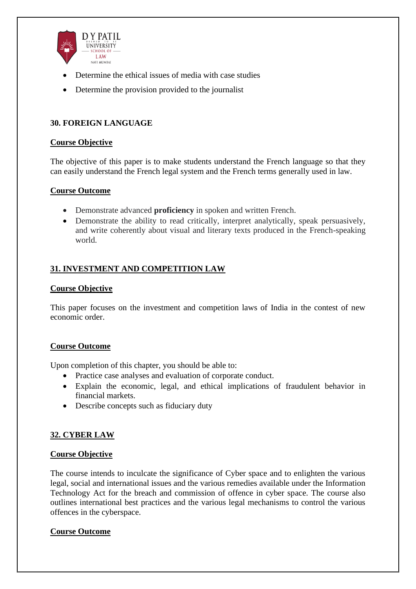

- Determine the ethical issues of media with case studies
- Determine the provision provided to the journalist

### **30. FOREIGN LANGUAGE**

#### **Course Objective**

The objective of this paper is to make students understand the French language so that they can easily understand the French legal system and the French terms generally used in law.

#### **Course Outcome**

- Demonstrate advanced **proficiency** in spoken and written French.
- Demonstrate the ability to read critically, interpret analytically, speak persuasively, and write coherently about visual and literary texts produced in the French-speaking world.

### **31. INVESTMENT AND COMPETITION LAW**

#### **Course Objective**

This paper focuses on the investment and competition laws of India in the contest of new economic order.

#### **Course Outcome**

Upon completion of this chapter, you should be able to:

- Practice case analyses and evaluation of corporate conduct.
- Explain the economic, legal, and ethical implications of fraudulent behavior in financial markets.
- Describe concepts such as fiduciary duty

### **32. CYBER LAW**

#### **Course Objective**

The course intends to inculcate the significance of Cyber space and to enlighten the various legal, social and international issues and the various remedies available under the Information Technology Act for the breach and commission of offence in cyber space. The course also outlines international best practices and the various legal mechanisms to control the various offences in the cyberspace.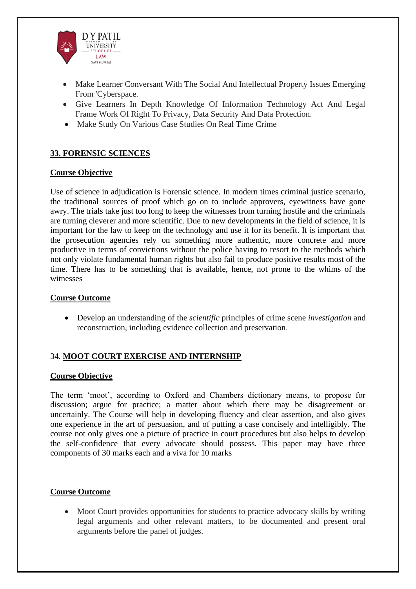

- Make Learner Conversant With The Social And Intellectual Property Issues Emerging From 'Cyberspace.
- Give Learners In Depth Knowledge Of Information Technology Act And Legal Frame Work Of Right To Privacy, Data Security And Data Protection.
- Make Study On Various Case Studies On Real Time Crime

### **33. FORENSIC SCIENCES**

#### **Course Objective**

Use of science in adjudication is Forensic science. In modern times criminal justice scenario, the traditional sources of proof which go on to include approvers, eyewitness have gone awry. The trials take just too long to keep the witnesses from turning hostile and the criminals are turning cleverer and more scientific. Due to new developments in the field of science, it is important for the law to keep on the technology and use it for its benefit. It is important that the prosecution agencies rely on something more authentic, more concrete and more productive in terms of convictions without the police having to resort to the methods which not only violate fundamental human rights but also fail to produce positive results most of the time. There has to be something that is available, hence, not prone to the whims of the witnesses

#### **Course Outcome**

• Develop an understanding of the *scientific* principles of crime scene *investigation* and reconstruction, including evidence collection and preservation.

### 34. **MOOT COURT EXERCISE AND INTERNSHIP**

#### **Course Objective**

The term 'moot', according to Oxford and Chambers dictionary means, to propose for discussion; argue for practice; a matter about which there may be disagreement or uncertainly. The Course will help in developing fluency and clear assertion, and also gives one experience in the art of persuasion, and of putting a case concisely and intelligibly. The course not only gives one a picture of practice in court procedures but also helps to develop the self-confidence that every advocate should possess. This paper may have three components of 30 marks each and a viva for 10 marks

#### **Course Outcome**

• Moot Court provides opportunities for students to practice advocacy skills by writing legal arguments and other relevant matters, to be documented and present oral arguments before the panel of judges.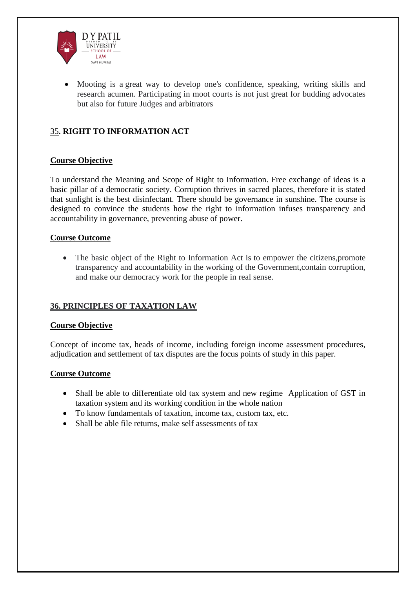

• Mooting is a great way to develop one's confidence, speaking, writing skills and research acumen. Participating in moot courts is not just great for budding advocates but also for future Judges and arbitrators

## 35**. RIGHT TO INFORMATION ACT**

#### **Course Objective**

To understand the Meaning and Scope of Right to Information. Free exchange of ideas is a basic pillar of a democratic society. Corruption thrives in sacred places, therefore it is stated that sunlight is the best disinfectant. There should be governance in sunshine. The course is designed to convince the students how the right to information infuses transparency and accountability in governance, preventing abuse of power.

#### **Course Outcome**

• The basic object of the Right to Information Act is to empower the citizens, promote transparency and accountability in the working of the Government,contain corruption, and make our democracy work for the people in real sense.

### **36. PRINCIPLES OF TAXATION LAW**

#### **Course Objective**

Concept of income tax, heads of income, including foreign income assessment procedures, adjudication and settlement of tax disputes are the focus points of study in this paper.

- Shall be able to differentiate old tax system and new regime Application of GST in taxation system and its working condition in the whole nation
- To know fundamentals of taxation, income tax, custom tax, etc.
- Shall be able file returns, make self assessments of tax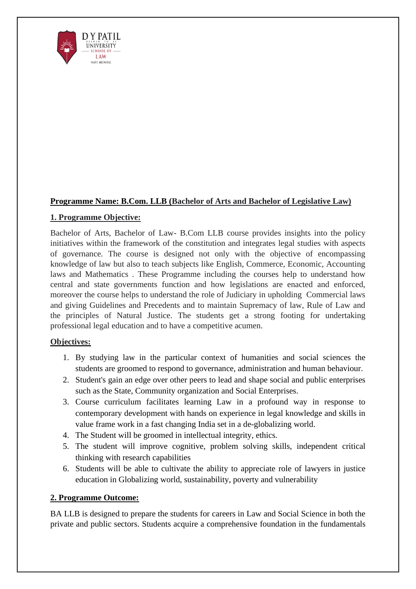

### **Programme Name: B.Com. LLB (Bachelor of Arts and Bachelor of Legislative Law)**

### **1. Programme Objective:**

Bachelor of Arts, Bachelor of Law- B.Com LLB course provides insights into the policy initiatives within the framework of the constitution and integrates legal studies with aspects of governance. The course is designed not only with the objective of encompassing knowledge of law but also to teach subjects like English, Commerce, Economic, Accounting laws and Mathematics . These Programme including the courses help to understand how central and state governments function and how legislations are enacted and enforced, moreover the course helps to understand the role of Judiciary in upholding Commercial laws and giving Guidelines and Precedents and to maintain Supremacy of law, Rule of Law and the principles of Natural Justice. The students get a strong footing for undertaking professional legal education and to have a competitive acumen.

### **Objectives:**

- 1. By studying law in the particular context of humanities and social sciences the students are groomed to respond to governance, administration and human behaviour.
- 2. Student's gain an edge over other peers to lead and shape social and public enterprises such as the State, Community organization and Social Enterprises.
- 3. Course curriculum facilitates learning Law in a profound way in response to contemporary development with hands on experience in legal knowledge and skills in value frame work in a fast changing India set in a de-globalizing world.
- 4. The Student will be groomed in intellectual integrity, ethics.
- 5. The student will improve cognitive, problem solving skills, independent critical thinking with research capabilities
- 6. Students will be able to cultivate the ability to appreciate role of lawyers in justice education in Globalizing world, sustainability, poverty and vulnerability

### **2. Programme Outcome:**

BA LLB is designed to prepare the students for careers in Law and Social Science in both the private and public sectors. Students acquire a comprehensive foundation in the fundamentals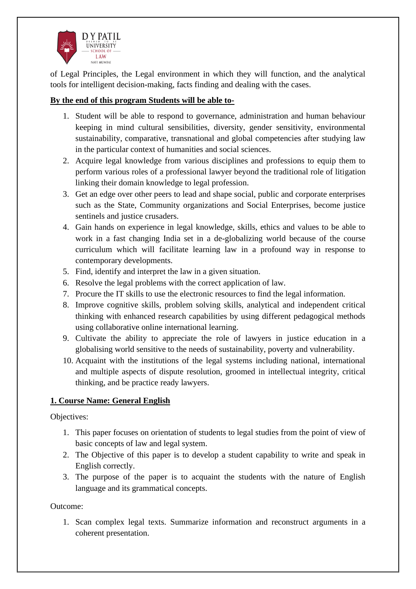

of Legal Principles, the Legal environment in which they will function, and the analytical tools for intelligent decision-making, facts finding and dealing with the cases.

## **By the end of this program Students will be able to-**

- 1. Student will be able to respond to governance, administration and human behaviour keeping in mind cultural sensibilities, diversity, gender sensitivity, environmental sustainability, comparative, transnational and global competencies after studying law in the particular context of humanities and social sciences.
- 2. Acquire legal knowledge from various disciplines and professions to equip them to perform various roles of a professional lawyer beyond the traditional role of litigation linking their domain knowledge to legal profession.
- 3. Get an edge over other peers to lead and shape social, public and corporate enterprises such as the State, Community organizations and Social Enterprises, become justice sentinels and justice crusaders.
- 4. Gain hands on experience in legal knowledge, skills, ethics and values to be able to work in a fast changing India set in a de-globalizing world because of the course curriculum which will facilitate learning law in a profound way in response to contemporary developments.
- 5. Find, identify and interpret the law in a given situation.
- 6. Resolve the legal problems with the correct application of law.
- 7. Procure the IT skills to use the electronic resources to find the legal information.
- 8. Improve cognitive skills, problem solving skills, analytical and independent critical thinking with enhanced research capabilities by using different pedagogical methods using collaborative online international learning.
- 9. Cultivate the ability to appreciate the role of lawyers in justice education in a globalising world sensitive to the needs of sustainability, poverty and vulnerability.
- 10. Acquaint with the institutions of the legal systems including national, international and multiple aspects of dispute resolution, groomed in intellectual integrity, critical thinking, and be practice ready lawyers.

## **1. Course Name: General English**

Objectives:

- 1. This paper focuses on orientation of students to legal studies from the point of view of basic concepts of law and legal system.
- 2. The Objective of this paper is to develop a student capability to write and speak in English correctly.
- 3. The purpose of the paper is to acquaint the students with the nature of English language and its grammatical concepts.

Outcome:

1. Scan complex legal texts. Summarize information and reconstruct arguments in a coherent presentation.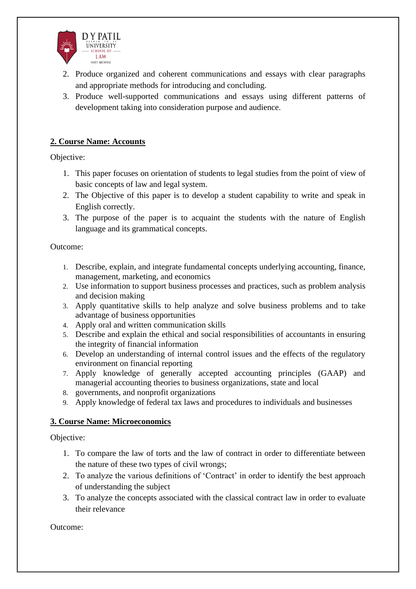

- 2. Produce organized and coherent communications and essays with clear paragraphs and appropriate methods for introducing and concluding.
- 3. Produce well-supported communications and essays using different patterns of development taking into consideration purpose and audience.

### **2. Course Name: Accounts**

Objective:

- 1. This paper focuses on orientation of students to legal studies from the point of view of basic concepts of law and legal system.
- 2. The Objective of this paper is to develop a student capability to write and speak in English correctly.
- 3. The purpose of the paper is to acquaint the students with the nature of English language and its grammatical concepts.

Outcome:

- 1. Describe, explain, and integrate fundamental concepts underlying accounting, finance, management, marketing, and economics
- 2. Use information to support business processes and practices, such as problem analysis and decision making
- 3. Apply quantitative skills to help analyze and solve business problems and to take advantage of business opportunities
- 4. Apply oral and written communication skills
- 5. Describe and explain the ethical and social responsibilities of accountants in ensuring the integrity of financial information
- 6. Develop an understanding of internal control issues and the effects of the regulatory environment on financial reporting
- 7. Apply knowledge of generally accepted accounting principles (GAAP) and managerial accounting theories to business organizations, state and local
- 8. governments, and nonprofit organizations
- 9. Apply knowledge of federal tax laws and procedures to individuals and businesses

### **3. Course Name: Microeconomics**

Objective:

- 1. To compare the law of torts and the law of contract in order to differentiate between the nature of these two types of civil wrongs;
- 2. To analyze the various definitions of 'Contract' in order to identify the best approach of understanding the subject
- 3. To analyze the concepts associated with the classical contract law in order to evaluate their relevance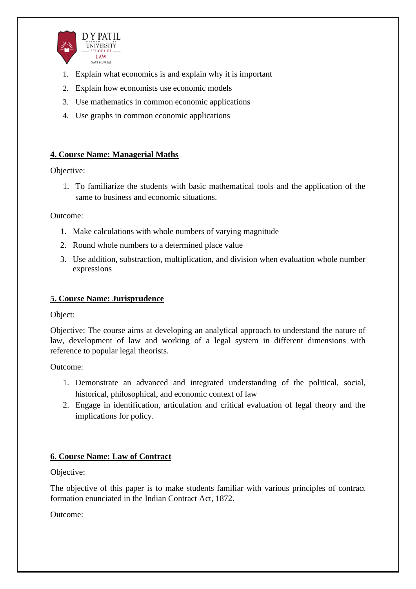

- 1. Explain what economics is and explain why it is important
- 2. Explain how economists use economic models
- 3. Use mathematics in common economic applications
- 4. Use graphs in common economic applications

### **4. Course Name: Managerial Maths**

Objective:

1. To familiarize the students with basic mathematical tools and the application of the same to business and economic situations.

Outcome:

- 1. Make calculations with whole numbers of varying magnitude
- 2. Round whole numbers to a determined place value
- 3. Use addition, substraction, multiplication, and division when evaluation whole number expressions

## **5. Course Name: Jurisprudence**

Object:

Objective: The course aims at developing an analytical approach to understand the nature of law, development of law and working of a legal system in different dimensions with reference to popular legal theorists.

Outcome:

- 1. Demonstrate an advanced and integrated understanding of the political, social, historical, philosophical, and economic context of law
- 2. Engage in identification, articulation and critical evaluation of legal theory and the implications for policy.

## **6. Course Name: Law of Contract**

Objective:

The objective of this paper is to make students familiar with various principles of contract formation enunciated in the Indian Contract Act, 1872.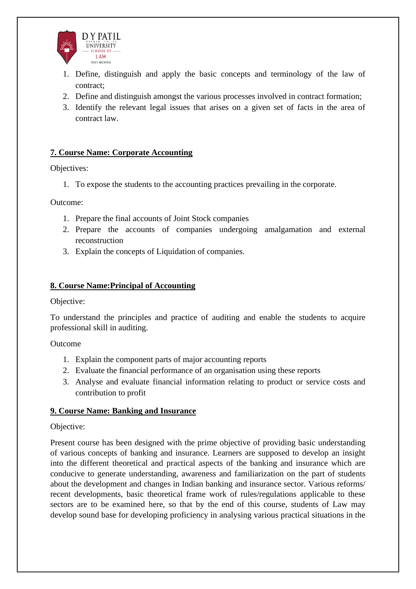

- 1. Define, distinguish and apply the basic concepts and terminology of the law of contract;
- 2. Define and distinguish amongst the various processes involved in contract formation;
- 3. Identify the relevant legal issues that arises on a given set of facts in the area of contract law.

### **7. Course Name: Corporate Accounting**

Objectives:

1. To expose the students to the accounting practices prevailing in the corporate.

Outcome:

- 1. Prepare the final accounts of Joint Stock companies
- 2. Prepare the accounts of companies undergoing amalgamation and external reconstruction
- 3. Explain the concepts of Liquidation of companies.

#### **8. Course Name:Principal of Accounting**

Objective:

To understand the principles and practice of auditing and enable the students to acquire professional skill in auditing.

Outcome

- 1. Explain the component parts of major accounting reports
- 2. Evaluate the financial performance of an organisation using these reports
- 3. Analyse and evaluate financial information relating to product or service costs and contribution to profit

### **9. Course Name: Banking and Insurance**

#### Objective:

Present course has been designed with the prime objective of providing basic understanding of various concepts of banking and insurance. Learners are supposed to develop an insight into the different theoretical and practical aspects of the banking and insurance which are conducive to generate understanding, awareness and familiarization on the part of students about the development and changes in Indian banking and insurance sector. Various reforms/ recent developments, basic theoretical frame work of rules/regulations applicable to these sectors are to be examined here, so that by the end of this course, students of Law may develop sound base for developing proficiency in analysing various practical situations in the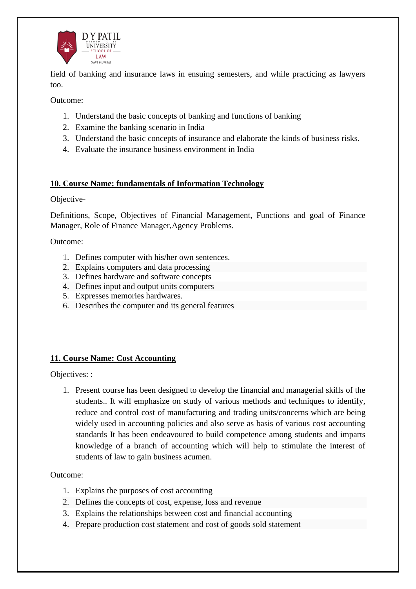

field of banking and insurance laws in ensuing semesters, and while practicing as lawyers too.

Outcome:

- 1. Understand the basic concepts of banking and functions of banking
- 2. Examine the banking scenario in India
- 3. Understand the basic concepts of insurance and elaborate the kinds of business risks.
- 4. Evaluate the insurance business environment in India

### **10. Course Name: fundamentals of Information Technology**

Objective-

Definitions, Scope, Objectives of Financial Management, Functions and goal of Finance Manager, Role of Finance Manager,Agency Problems.

Outcome:

- 1. Defines computer with his/her own sentences.
- 2. Explains computers and data processing
- 3. Defines hardware and software concepts
- 4. Defines input and output units computers
- 5. Expresses memories hardwares.
- 6. Describes the computer and its general features

### **11. Course Name: Cost Accounting**

Objectives: :

1. Present course has been designed to develop the financial and managerial skills of the students.. It will emphasize on study of various methods and techniques to identify, reduce and control cost of manufacturing and trading units/concerns which are being widely used in accounting policies and also serve as basis of various cost accounting standards It has been endeavoured to build competence among students and imparts knowledge of a branch of accounting which will help to stimulate the interest of students of law to gain business acumen.

- 1. Explains the purposes of cost accounting
- 2. Defines the concepts of cost, expense, loss and revenue
- 3. Explains the relationships between cost and financial accounting
- 4. Prepare production cost statement and cost of goods sold statement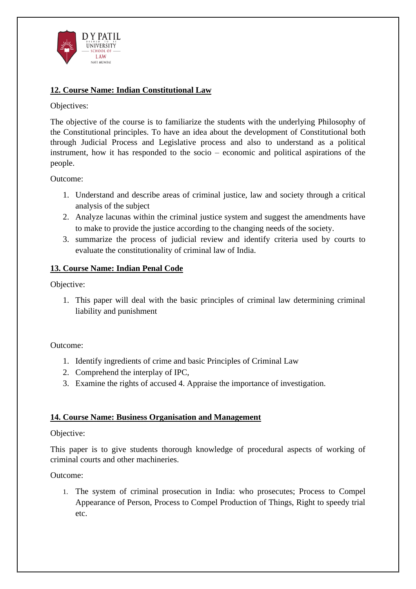

## **12. Course Name: Indian Constitutional Law**

### Objectives:

The objective of the course is to familiarize the students with the underlying Philosophy of the Constitutional principles. To have an idea about the development of Constitutional both through Judicial Process and Legislative process and also to understand as a political instrument, how it has responded to the socio – economic and political aspirations of the people.

Outcome:

- 1. Understand and describe areas of criminal justice, law and society through a critical analysis of the subject
- 2. Analyze lacunas within the criminal justice system and suggest the amendments have to make to provide the justice according to the changing needs of the society.
- 3. summarize the process of judicial review and identify criteria used by courts to evaluate the constitutionality of criminal law of India.

## **13. Course Name: Indian Penal Code**

Objective:

1. This paper will deal with the basic principles of criminal law determining criminal liability and punishment

Outcome:

- 1. Identify ingredients of crime and basic Principles of Criminal Law
- 2. Comprehend the interplay of IPC,
- 3. Examine the rights of accused 4. Appraise the importance of investigation.

## **14. Course Name: Business Organisation and Management**

### Objective:

This paper is to give students thorough knowledge of procedural aspects of working of criminal courts and other machineries.

Outcome:

1. The system of criminal prosecution in India: who prosecutes; Process to Compel Appearance of Person, Process to Compel Production of Things, Right to speedy trial etc.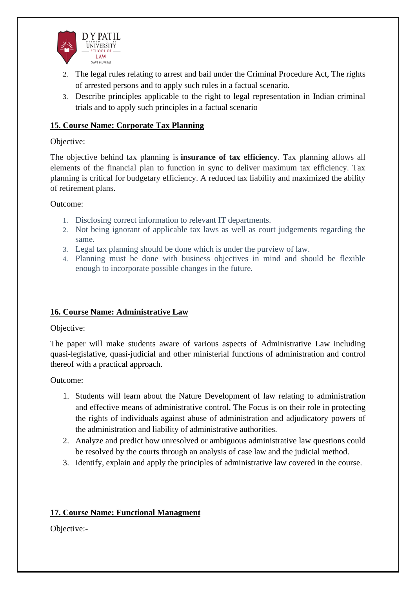

- 2. The legal rules relating to arrest and bail under the Criminal Procedure Act, The rights of arrested persons and to apply such rules in a factual scenario.
- 3. Describe principles applicable to the right to legal representation in Indian criminal trials and to apply such principles in a factual scenario

### **15. Course Name: Corporate Tax Planning**

### Objective:

The objective behind tax planning is **insurance of tax efficiency**. Tax planning allows all elements of the financial plan to function in sync to deliver maximum tax efficiency. Tax planning is critical for budgetary efficiency. A reduced tax liability and maximized the ability of retirement plans.

#### Outcome:

- 1. Disclosing correct information to relevant IT departments.
- 2. Not being ignorant of applicable tax laws as well as court judgements regarding the same.
- 3. Legal tax planning should be done which is under the purview of law.
- 4. Planning must be done with business objectives in mind and should be flexible enough to incorporate possible changes in the future.

### **16. Course Name: Administrative Law**

### Objective:

The paper will make students aware of various aspects of Administrative Law including quasi-legislative, quasi-judicial and other ministerial functions of administration and control thereof with a practical approach.

### Outcome:

- 1. Students will learn about the Nature Development of law relating to administration and effective means of administrative control. The Focus is on their role in protecting the rights of individuals against abuse of administration and adjudicatory powers of the administration and liability of administrative authorities.
- 2. Analyze and predict how unresolved or ambiguous administrative law questions could be resolved by the courts through an analysis of case law and the judicial method.
- 3. Identify, explain and apply the principles of administrative law covered in the course.

## **17. Course Name: Functional Managment**

Objective:-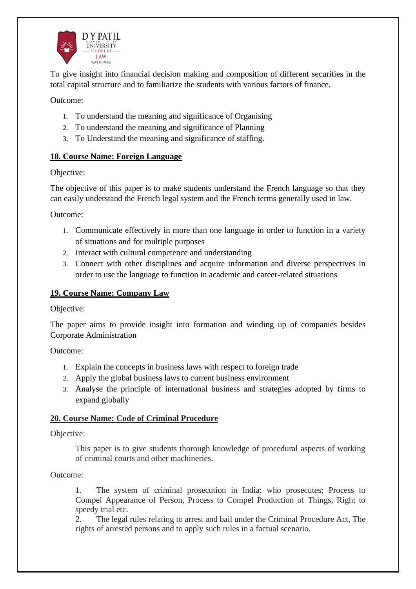

To give insight into financial decision making and composition of different securities in the total capital structure and to familiarize the students with various factors of finance.

Outcome:

- 1. To understand the meaning and significance of Organising
- 2. To understand the meaning and significance of Planning
- 3. To Understand the meaning and significance of staffing.

### **18. Course Name: Foreign Language**

### Objective:

The objective of this paper is to make students understand the French language so that they can easily understand the French legal system and the French terms generally used in law.

Outcome:

- 1. Communicate effectively in more than one language in order to function in a variety of situations and for multiple purposes
- 2. Interact with cultural competence and understanding
- 3. Connect with other disciplines and acquire information and diverse perspectives in order to use the language to function in academic and career-related situations

## **19. Course Name: Company Law**

Objective:

The paper aims to provide insight into formation and winding up of companies besides Corporate Administration

Outcome:

- 1. Explain the concepts in business laws with respect to foreign trade
- 2. Apply the global business laws to current business environment
- 3. Analyse the principle of international business and strategies adopted by firms to expand globally

### **20. Course Name: Code of Criminal Procedure**

### Objective:

This paper is to give students thorough knowledge of procedural aspects of working of criminal courts and other machineries.

Outcome:

1. The system of criminal prosecution in India: who prosecutes; Process to Compel Appearance of Person, Process to Compel Production of Things, Right to speedy trial etc.

2. The legal rules relating to arrest and bail under the Criminal Procedure Act, The rights of arrested persons and to apply such rules in a factual scenario.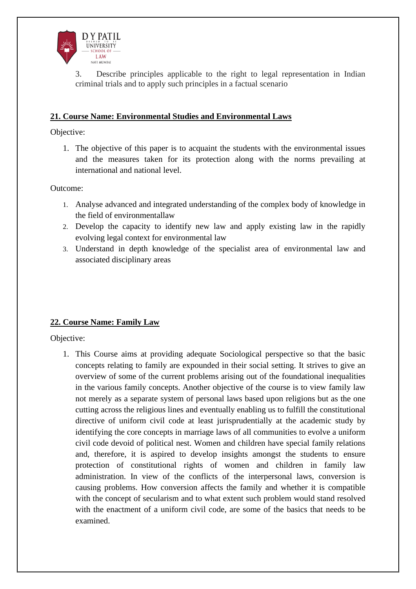

Describe principles applicable to the right to legal representation in Indian criminal trials and to apply such principles in a factual scenario

### **21. Course Name: Environmental Studies and Environmental Laws**

Objective:

1. The objective of this paper is to acquaint the students with the environmental issues and the measures taken for its protection along with the norms prevailing at international and national level.

Outcome:

- 1. Analyse advanced and integrated understanding of the complex body of knowledge in the field of environmentallaw
- 2. Develop the capacity to identify new law and apply existing law in the rapidly evolving legal context for environmental law
- 3. Understand in depth knowledge of the specialist area of environmental law and associated disciplinary areas

## **22. Course Name: Family Law**

Objective:

1. This Course aims at providing adequate Sociological perspective so that the basic concepts relating to family are expounded in their social setting. It strives to give an overview of some of the current problems arising out of the foundational inequalities in the various family concepts. Another objective of the course is to view family law not merely as a separate system of personal laws based upon religions but as the one cutting across the religious lines and eventually enabling us to fulfill the constitutional directive of uniform civil code at least jurisprudentially at the academic study by identifying the core concepts in marriage laws of all communities to evolve a uniform civil code devoid of political nest. Women and children have special family relations and, therefore, it is aspired to develop insights amongst the students to ensure protection of constitutional rights of women and children in family law administration. In view of the conflicts of the interpersonal laws, conversion is causing problems. How conversion affects the family and whether it is compatible with the concept of secularism and to what extent such problem would stand resolved with the enactment of a uniform civil code, are some of the basics that needs to be examined.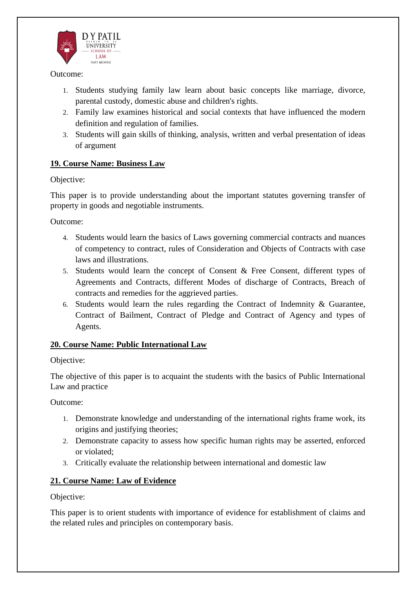

- 1. Students studying family law learn about basic concepts like marriage, divorce, parental custody, domestic abuse and children's rights.
- 2. Family law examines historical and social contexts that have influenced the modern definition and regulation of families.
- 3. Students will gain skills of thinking, analysis, written and verbal presentation of ideas of argument

### **19. Course Name: Business Law**

Objective:

This paper is to provide understanding about the important statutes governing transfer of property in goods and negotiable instruments.

Outcome:

- 4. Students would learn the basics of Laws governing commercial contracts and nuances of competency to contract, rules of Consideration and Objects of Contracts with case laws and illustrations.
- 5. Students would learn the concept of Consent & Free Consent, different types of Agreements and Contracts, different Modes of discharge of Contracts, Breach of contracts and remedies for the aggrieved parties.
- 6. Students would learn the rules regarding the Contract of Indemnity & Guarantee, Contract of Bailment, Contract of Pledge and Contract of Agency and types of Agents.

### **20. Course Name: Public International Law**

### Objective:

The objective of this paper is to acquaint the students with the basics of Public International Law and practice

Outcome:

- 1. Demonstrate knowledge and understanding of the international rights frame work, its origins and justifying theories;
- 2. Demonstrate capacity to assess how specific human rights may be asserted, enforced or violated;
- 3. Critically evaluate the relationship between international and domestic law

## **21. Course Name: Law of Evidence**

Objective:

This paper is to orient students with importance of evidence for establishment of claims and the related rules and principles on contemporary basis.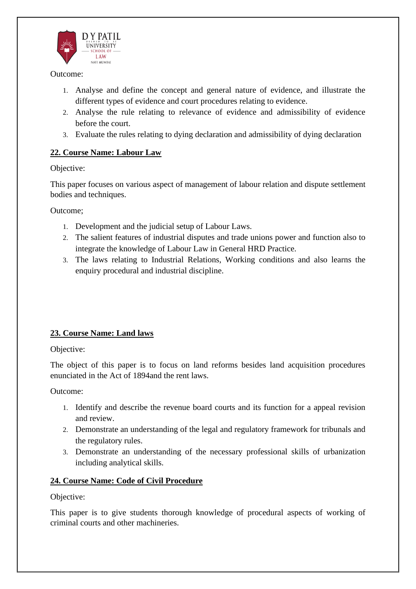

- 1. Analyse and define the concept and general nature of evidence, and illustrate the different types of evidence and court procedures relating to evidence.
- 2. Analyse the rule relating to relevance of evidence and admissibility of evidence before the court.
- 3. Evaluate the rules relating to dying declaration and admissibility of dying declaration

## **22. Course Name: Labour Law**

### Objective:

This paper focuses on various aspect of management of labour relation and dispute settlement bodies and techniques.

Outcome;

- 1. Development and the judicial setup of Labour Laws.
- 2. The salient features of industrial disputes and trade unions power and function also to integrate the knowledge of Labour Law in General HRD Practice.
- 3. The laws relating to Industrial Relations, Working conditions and also learns the enquiry procedural and industrial discipline.

# **23. Course Name: Land laws**

## Objective:

The object of this paper is to focus on land reforms besides land acquisition procedures enunciated in the Act of 1894and the rent laws.

Outcome:

- 1. Identify and describe the revenue board courts and its function for a appeal revision and review.
- 2. Demonstrate an understanding of the legal and regulatory framework for tribunals and the regulatory rules.
- 3. Demonstrate an understanding of the necessary professional skills of urbanization including analytical skills.

## **24. Course Name: Code of Civil Procedure**

Objective:

This paper is to give students thorough knowledge of procedural aspects of working of criminal courts and other machineries.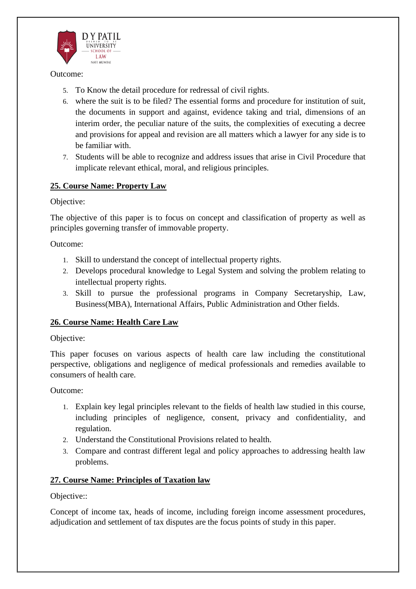

- 5. To Know the detail procedure for redressal of civil rights.
- 6. where the suit is to be filed? The essential forms and procedure for institution of suit, the documents in support and against, evidence taking and trial, dimensions of an interim order, the peculiar nature of the suits, the complexities of executing a decree and provisions for appeal and revision are all matters which a lawyer for any side is to be familiar with.
- 7. Students will be able to recognize and address issues that arise in Civil Procedure that implicate relevant ethical, moral, and religious principles.

### **25. Course Name: Property Law**

### Objective:

The objective of this paper is to focus on concept and classification of property as well as principles governing transfer of immovable property.

Outcome:

- 1. Skill to understand the concept of intellectual property rights.
- 2. Develops procedural knowledge to Legal System and solving the problem relating to intellectual property rights.
- 3. Skill to pursue the professional programs in Company Secretaryship, Law, Business(MBA), International Affairs, Public Administration and Other fields.

## **26. Course Name: Health Care Law**

### Objective:

This paper focuses on various aspects of health care law including the constitutional perspective, obligations and negligence of medical professionals and remedies available to consumers of health care.

### Outcome:

- 1. Explain key legal principles relevant to the fields of health law studied in this course, including principles of negligence, consent, privacy and confidentiality, and regulation.
- 2. Understand the Constitutional Provisions related to health.
- 3. Compare and contrast different legal and policy approaches to addressing health law problems.

## **27. Course Name: Principles of Taxation law**

Objective::

Concept of income tax, heads of income, including foreign income assessment procedures, adjudication and settlement of tax disputes are the focus points of study in this paper.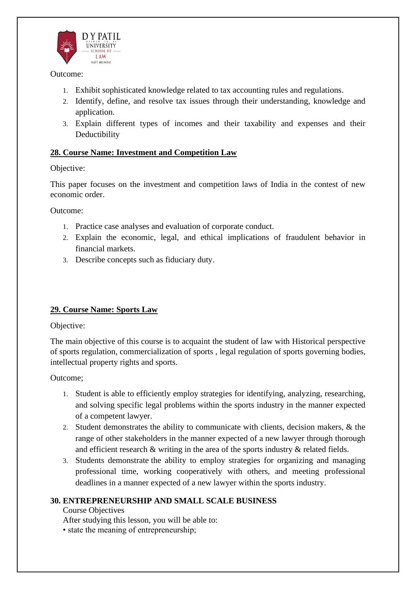

- 1. Exhibit sophisticated knowledge related to tax accounting rules and regulations.
- 2. Identify, define, and resolve tax issues through their understanding, knowledge and application.
- 3. Explain different types of incomes and their taxability and expenses and their Deductibility

### **28. Course Name: Investment and Competition Law**

### Objective:

This paper focuses on the investment and competition laws of India in the contest of new economic order.

Outcome:

- 1. Practice case analyses and evaluation of corporate conduct.
- 2. Explain the economic, legal, and ethical implications of fraudulent behavior in financial markets.
- 3. Describe concepts such as fiduciary duty.

## **29. Course Name: Sports Law**

Objective:

The main objective of this course is to acquaint the student of law with Historical perspective of sports regulation, commercialization of sports , legal regulation of sports governing bodies, intellectual property rights and sports.

Outcome;

- 1. Student is able to efficiently employ strategies for identifying, analyzing, researching, and solving specific legal problems within the sports industry in the manner expected of a competent lawyer.
- 2. Student demonstrates the ability to communicate with clients, decision makers, & the range of other stakeholders in the manner expected of a new lawyer through thorough and efficient research & writing in the area of the sports industry & related fields.
- 3. Students demonstrate the ability to employ strategies for organizing and managing professional time, working cooperatively with others, and meeting professional deadlines in a manner expected of a new lawyer within the sports industry.

## **30. ENTREPRENEURSHIP AND SMALL SCALE BUSINESS**

Course Objectives

After studying this lesson, you will be able to:

• state the meaning of entrepreneurship;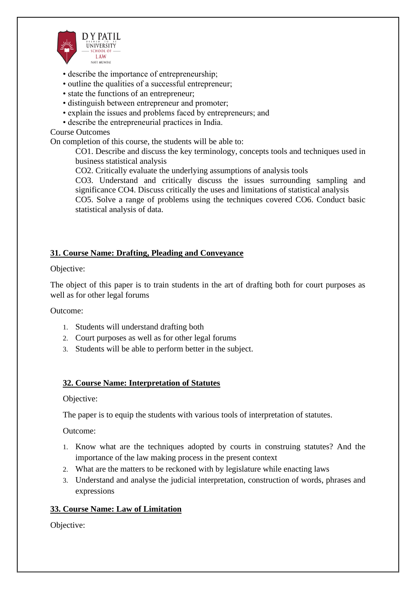

- describe the importance of entrepreneurship;
- outline the qualities of a successful entrepreneur;
- state the functions of an entrepreneur;
- distinguish between entrepreneur and promoter;
- explain the issues and problems faced by entrepreneurs; and
- describe the entrepreneurial practices in India.

### Course Outcomes

On completion of this course, the students will be able to:

CO1. Describe and discuss the key terminology, concepts tools and techniques used in business statistical analysis

CO2. Critically evaluate the underlying assumptions of analysis tools

CO3. Understand and critically discuss the issues surrounding sampling and significance CO4. Discuss critically the uses and limitations of statistical analysis CO5. Solve a range of problems using the techniques covered CO6. Conduct basic statistical analysis of data.

### **31. Course Name: Drafting, Pleading and Conveyance**

Objective:

The object of this paper is to train students in the art of drafting both for court purposes as well as for other legal forums

Outcome:

- 1. Students will understand drafting both
- 2. Court purposes as well as for other legal forums
- 3. Students will be able to perform better in the subject.

### **32. Course Name: Interpretation of Statutes**

#### Objective:

The paper is to equip the students with various tools of interpretation of statutes.

Outcome:

- 1. Know what are the techniques adopted by courts in construing statutes? And the importance of the law making process in the present context
- 2. What are the matters to be reckoned with by legislature while enacting laws
- 3. Understand and analyse the judicial interpretation, construction of words, phrases and expressions

### **33. Course Name: Law of Limitation**

Objective: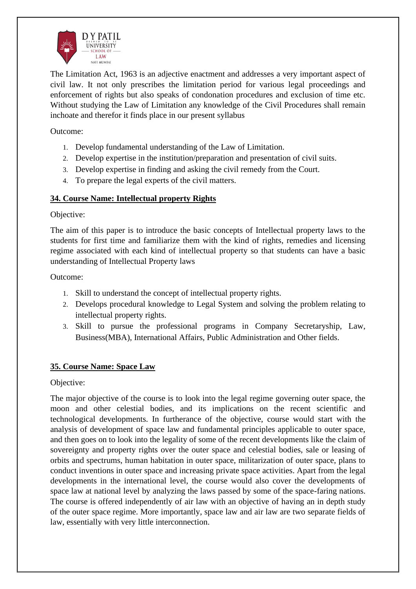

The Limitation Act, 1963 is an adjective enactment and addresses a very important aspect of civil law. It not only prescribes the limitation period for various legal proceedings and enforcement of rights but also speaks of condonation procedures and exclusion of time etc. Without studying the Law of Limitation any knowledge of the Civil Procedures shall remain inchoate and therefor it finds place in our present syllabus

Outcome:

- 1. Develop fundamental understanding of the Law of Limitation.
- 2. Develop expertise in the institution/preparation and presentation of civil suits.
- 3. Develop expertise in finding and asking the civil remedy from the Court.
- 4. To prepare the legal experts of the civil matters.

### **34. Course Name: Intellectual property Rights**

Objective:

The aim of this paper is to introduce the basic concepts of Intellectual property laws to the students for first time and familiarize them with the kind of rights, remedies and licensing regime associated with each kind of intellectual property so that students can have a basic understanding of Intellectual Property laws

Outcome:

- 1. Skill to understand the concept of intellectual property rights.
- 2. Develops procedural knowledge to Legal System and solving the problem relating to intellectual property rights.
- 3. Skill to pursue the professional programs in Company Secretaryship, Law, Business(MBA), International Affairs, Public Administration and Other fields.

### **35. Course Name: Space Law**

Objective:

The major objective of the course is to look into the legal regime governing outer space, the moon and other celestial bodies, and its implications on the recent scientific and technological developments. In furtherance of the objective, course would start with the analysis of development of space law and fundamental principles applicable to outer space, and then goes on to look into the legality of some of the recent developments like the claim of sovereignty and property rights over the outer space and celestial bodies, sale or leasing of orbits and spectrums, human habitation in outer space, militarization of outer space, plans to conduct inventions in outer space and increasing private space activities. Apart from the legal developments in the international level, the course would also cover the developments of space law at national level by analyzing the laws passed by some of the space-faring nations. The course is offered independently of air law with an objective of having an in depth study of the outer space regime. More importantly, space law and air law are two separate fields of law, essentially with very little interconnection.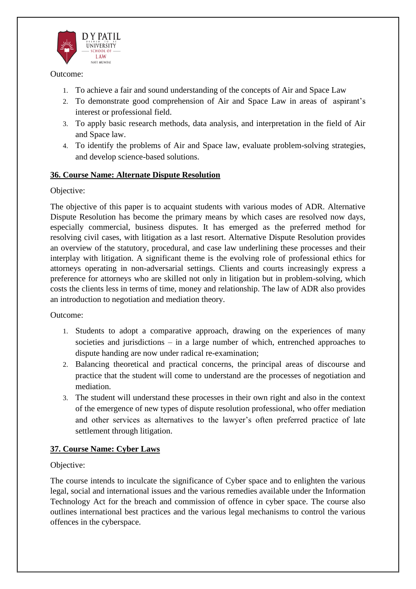

- 1. To achieve a fair and sound understanding of the concepts of Air and Space Law
- 2. To demonstrate good comprehension of Air and Space Law in areas of aspirant's interest or professional field.
- 3. To apply basic research methods, data analysis, and interpretation in the field of Air and Space law.
- 4. To identify the problems of Air and Space law, evaluate problem-solving strategies, and develop science-based solutions.

### **36. Course Name: Alternate Dispute Resolution**

### Objective:

The objective of this paper is to acquaint students with various modes of ADR. Alternative Dispute Resolution has become the primary means by which cases are resolved now days, especially commercial, business disputes. It has emerged as the preferred method for resolving civil cases, with litigation as a last resort. Alternative Dispute Resolution provides an overview of the statutory, procedural, and case law underlining these processes and their interplay with litigation. A significant theme is the evolving role of professional ethics for attorneys operating in non-adversarial settings. Clients and courts increasingly express a preference for attorneys who are skilled not only in litigation but in problem-solving, which costs the clients less in terms of time, money and relationship. The law of ADR also provides an introduction to negotiation and mediation theory.

Outcome:

- 1. Students to adopt a comparative approach, drawing on the experiences of many societies and jurisdictions – in a large number of which, entrenched approaches to dispute handing are now under radical re-examination;
- 2. Balancing theoretical and practical concerns, the principal areas of discourse and practice that the student will come to understand are the processes of negotiation and mediation.
- 3. The student will understand these processes in their own right and also in the context of the emergence of new types of dispute resolution professional, who offer mediation and other services as alternatives to the lawyer's often preferred practice of late settlement through litigation.

## **37. Course Name: Cyber Laws**

### Objective:

The course intends to inculcate the significance of Cyber space and to enlighten the various legal, social and international issues and the various remedies available under the Information Technology Act for the breach and commission of offence in cyber space. The course also outlines international best practices and the various legal mechanisms to control the various offences in the cyberspace.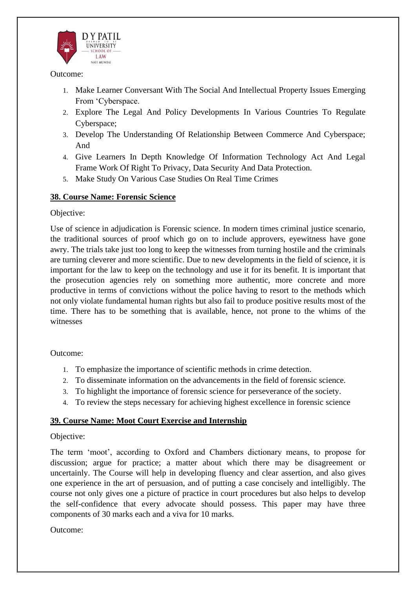

- 1. Make Learner Conversant With The Social And Intellectual Property Issues Emerging From 'Cyberspace.
- 2. Explore The Legal And Policy Developments In Various Countries To Regulate Cyberspace;
- 3. Develop The Understanding Of Relationship Between Commerce And Cyberspace; And
- 4. Give Learners In Depth Knowledge Of Information Technology Act And Legal Frame Work Of Right To Privacy, Data Security And Data Protection.
- 5. Make Study On Various Case Studies On Real Time Crimes

### **38. Course Name: Forensic Science**

### Objective:

Use of science in adjudication is Forensic science. In modern times criminal justice scenario, the traditional sources of proof which go on to include approvers, eyewitness have gone awry. The trials take just too long to keep the witnesses from turning hostile and the criminals are turning cleverer and more scientific. Due to new developments in the field of science, it is important for the law to keep on the technology and use it for its benefit. It is important that the prosecution agencies rely on something more authentic, more concrete and more productive in terms of convictions without the police having to resort to the methods which not only violate fundamental human rights but also fail to produce positive results most of the time. There has to be something that is available, hence, not prone to the whims of the witnesses

Outcome:

- 1. To emphasize the importance of scientific methods in crime detection.
- 2. To disseminate information on the advancements in the field of forensic science.
- 3. To highlight the importance of forensic science for perseverance of the society.
- 4. To review the steps necessary for achieving highest excellence in forensic science

### **39. Course Name: Moot Court Exercise and Internship**

### Objective:

The term 'moot', according to Oxford and Chambers dictionary means, to propose for discussion; argue for practice; a matter about which there may be disagreement or uncertainly. The Course will help in developing fluency and clear assertion, and also gives one experience in the art of persuasion, and of putting a case concisely and intelligibly. The course not only gives one a picture of practice in court procedures but also helps to develop the self-confidence that every advocate should possess. This paper may have three components of 30 marks each and a viva for 10 marks.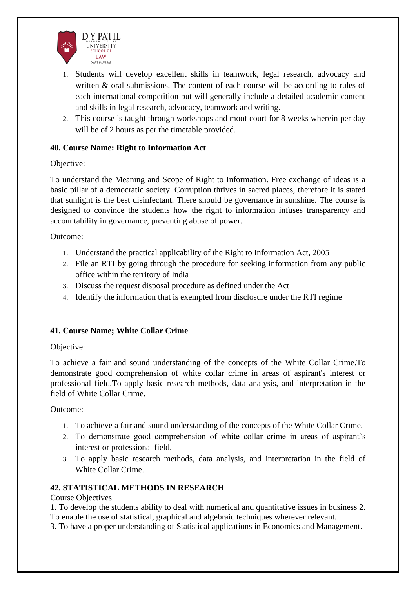

- 1. Students will develop excellent skills in teamwork, legal research, advocacy and written & oral submissions. The content of each course will be according to rules of each international competition but will generally include a detailed academic content and skills in legal research, advocacy, teamwork and writing.
- 2. This course is taught through workshops and moot court for 8 weeks wherein per day will be of 2 hours as per the timetable provided.

### **40. Course Name: Right to Information Act**

Objective:

To understand the Meaning and Scope of Right to Information. Free exchange of ideas is a basic pillar of a democratic society. Corruption thrives in sacred places, therefore it is stated that sunlight is the best disinfectant. There should be governance in sunshine. The course is designed to convince the students how the right to information infuses transparency and accountability in governance, preventing abuse of power.

Outcome:

- 1. Understand the practical applicability of the Right to Information Act, 2005
- 2. File an RTI by going through the procedure for seeking information from any public office within the territory of India
- 3. Discuss the request disposal procedure as defined under the Act
- 4. Identify the information that is exempted from disclosure under the RTI regime

## **41. Course Name; White Collar Crime**

### Objective:

To achieve a fair and sound understanding of the concepts of the White Collar Crime.To demonstrate good comprehension of white collar crime in areas of aspirant's interest or professional field.To apply basic research methods, data analysis, and interpretation in the field of White Collar Crime.

Outcome:

- 1. To achieve a fair and sound understanding of the concepts of the White Collar Crime.
- 2. To demonstrate good comprehension of white collar crime in areas of aspirant's interest or professional field.
- 3. To apply basic research methods, data analysis, and interpretation in the field of White Collar Crime.

# **42. STATISTICAL METHODS IN RESEARCH**

Course Objectives

1. To develop the students ability to deal with numerical and quantitative issues in business 2. To enable the use of statistical, graphical and algebraic techniques wherever relevant.

3. To have a proper understanding of Statistical applications in Economics and Management.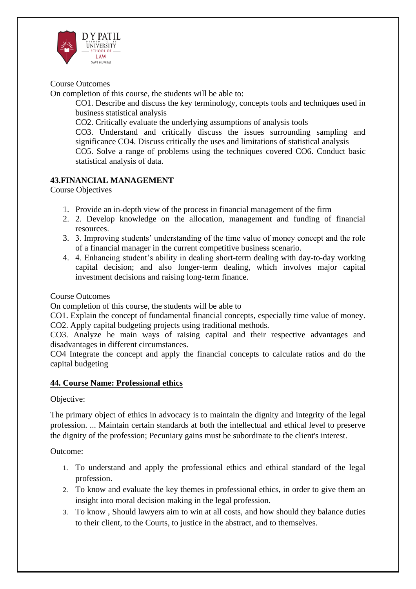

### Course Outcomes

On completion of this course, the students will be able to:

CO1. Describe and discuss the key terminology, concepts tools and techniques used in business statistical analysis

CO2. Critically evaluate the underlying assumptions of analysis tools

CO3. Understand and critically discuss the issues surrounding sampling and significance CO4. Discuss critically the uses and limitations of statistical analysis

CO5. Solve a range of problems using the techniques covered CO6. Conduct basic statistical analysis of data.

## **43.FINANCIAL MANAGEMENT**

Course Objectives

- 1. Provide an in-depth view of the process in financial management of the firm
- 2. 2. Develop knowledge on the allocation, management and funding of financial resources.
- 3. 3. Improving students' understanding of the time value of money concept and the role of a financial manager in the current competitive business scenario.
- 4. 4. Enhancing student's ability in dealing short-term dealing with day-to-day working capital decision; and also longer-term dealing, which involves major capital investment decisions and raising long-term finance.

#### Course Outcomes

On completion of this course, the students will be able to

CO1. Explain the concept of fundamental financial concepts, especially time value of money. CO2. Apply capital budgeting projects using traditional methods.

CO3. Analyze he main ways of raising capital and their respective advantages and disadvantages in different circumstances.

CO4 Integrate the concept and apply the financial concepts to calculate ratios and do the capital budgeting

### **44. Course Name: Professional ethics**

### Objective:

The primary object of ethics in advocacy is to maintain the dignity and integrity of the legal profession. ... Maintain certain standards at both the intellectual and ethical level to preserve the dignity of the profession; Pecuniary gains must be subordinate to the client's interest.

- 1. To understand and apply the professional ethics and ethical standard of the legal profession.
- 2. To know and evaluate the key themes in professional ethics, in order to give them an insight into moral decision making in the legal profession.
- 3. To know , Should lawyers aim to win at all costs, and how should they balance duties to their client, to the Courts, to justice in the abstract, and to themselves.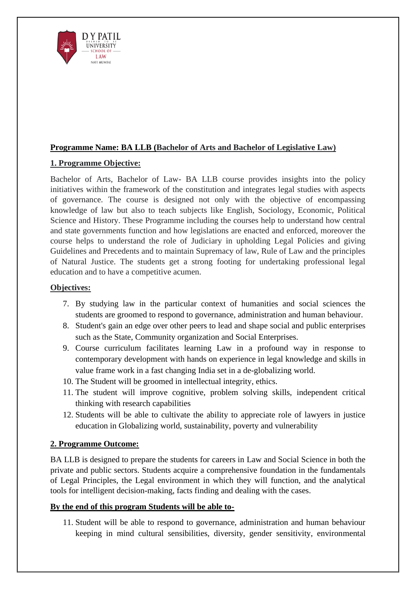

## **Programme Name: BA LLB (Bachelor of Arts and Bachelor of Legislative Law)**

# **1. Programme Objective:**

Bachelor of Arts, Bachelor of Law- BA LLB course provides insights into the policy initiatives within the framework of the constitution and integrates legal studies with aspects of governance. The course is designed not only with the objective of encompassing knowledge of law but also to teach subjects like English, Sociology, Economic, Political Science and History. These Programme including the courses help to understand how central and state governments function and how legislations are enacted and enforced, moreover the course helps to understand the role of Judiciary in upholding Legal Policies and giving Guidelines and Precedents and to maintain Supremacy of law, Rule of Law and the principles of Natural Justice. The students get a strong footing for undertaking professional legal education and to have a competitive acumen.

### **Objectives:**

- 7. By studying law in the particular context of humanities and social sciences the students are groomed to respond to governance, administration and human behaviour.
- 8. Student's gain an edge over other peers to lead and shape social and public enterprises such as the State, Community organization and Social Enterprises.
- 9. Course curriculum facilitates learning Law in a profound way in response to contemporary development with hands on experience in legal knowledge and skills in value frame work in a fast changing India set in a de-globalizing world.
- 10. The Student will be groomed in intellectual integrity, ethics.
- 11. The student will improve cognitive, problem solving skills, independent critical thinking with research capabilities
- 12. Students will be able to cultivate the ability to appreciate role of lawyers in justice education in Globalizing world, sustainability, poverty and vulnerability

## **2. Programme Outcome:**

BA LLB is designed to prepare the students for careers in Law and Social Science in both the private and public sectors. Students acquire a comprehensive foundation in the fundamentals of Legal Principles, the Legal environment in which they will function, and the analytical tools for intelligent decision-making, facts finding and dealing with the cases.

### **By the end of this program Students will be able to-**

11. Student will be able to respond to governance, administration and human behaviour keeping in mind cultural sensibilities, diversity, gender sensitivity, environmental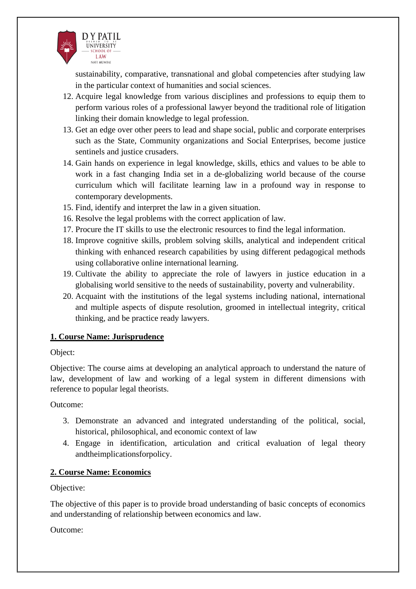

sustainability, comparative, transnational and global competencies after studying law in the particular context of humanities and social sciences.

- 12. Acquire legal knowledge from various disciplines and professions to equip them to perform various roles of a professional lawyer beyond the traditional role of litigation linking their domain knowledge to legal profession.
- 13. Get an edge over other peers to lead and shape social, public and corporate enterprises such as the State, Community organizations and Social Enterprises, become justice sentinels and justice crusaders.
- 14. Gain hands on experience in legal knowledge, skills, ethics and values to be able to work in a fast changing India set in a de-globalizing world because of the course curriculum which will facilitate learning law in a profound way in response to contemporary developments.
- 15. Find, identify and interpret the law in a given situation.
- 16. Resolve the legal problems with the correct application of law.
- 17. Procure the IT skills to use the electronic resources to find the legal information.
- 18. Improve cognitive skills, problem solving skills, analytical and independent critical thinking with enhanced research capabilities by using different pedagogical methods using collaborative online international learning.
- 19. Cultivate the ability to appreciate the role of lawyers in justice education in a globalising world sensitive to the needs of sustainability, poverty and vulnerability.
- 20. Acquaint with the institutions of the legal systems including national, international and multiple aspects of dispute resolution, groomed in intellectual integrity, critical thinking, and be practice ready lawyers.

### **1. Course Name: Jurisprudence**

### Object:

Objective: The course aims at developing an analytical approach to understand the nature of law, development of law and working of a legal system in different dimensions with reference to popular legal theorists.

Outcome:

- 3. Demonstrate an advanced and integrated understanding of the political, social, historical, philosophical, and economic context of law
- 4. Engage in identification, articulation and critical evaluation of legal theory andtheimplicationsforpolicy.

## **2. Course Name: Economics**

Objective:

The objective of this paper is to provide broad understanding of basic concepts of economics and understanding of relationship between economics and law.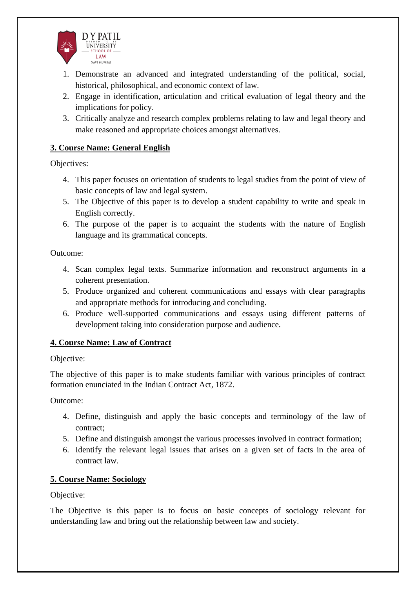

- 1. Demonstrate an advanced and integrated understanding of the political, social, historical, philosophical, and economic context of law.
- 2. Engage in identification, articulation and critical evaluation of legal theory and the implications for policy.
- 3. Critically analyze and research complex problems relating to law and legal theory and make reasoned and appropriate choices amongst alternatives.

### **3. Course Name: General English**

Objectives:

- 4. This paper focuses on orientation of students to legal studies from the point of view of basic concepts of law and legal system.
- 5. The Objective of this paper is to develop a student capability to write and speak in English correctly.
- 6. The purpose of the paper is to acquaint the students with the nature of English language and its grammatical concepts.

Outcome:

- 4. Scan complex legal texts. Summarize information and reconstruct arguments in a coherent presentation.
- 5. Produce organized and coherent communications and essays with clear paragraphs and appropriate methods for introducing and concluding.
- 6. Produce well-supported communications and essays using different patterns of development taking into consideration purpose and audience.

### **4. Course Name: Law of Contract**

### Objective:

The objective of this paper is to make students familiar with various principles of contract formation enunciated in the Indian Contract Act, 1872.

Outcome:

- 4. Define, distinguish and apply the basic concepts and terminology of the law of contract;
- 5. Define and distinguish amongst the various processes involved in contract formation;
- 6. Identify the relevant legal issues that arises on a given set of facts in the area of contract law.

### **5. Course Name: Sociology**

Objective:

The Objective is this paper is to focus on basic concepts of sociology relevant for understanding law and bring out the relationship between law and society.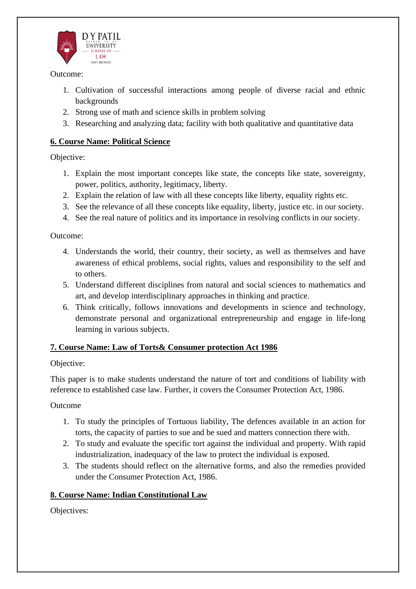

- 1. Cultivation of successful interactions among people of diverse racial and ethnic backgrounds
- 2. Strong use of math and science skills in problem solving
- 3. Researching and analyzing data; facility with both qualitative and quantitative data

## **6. Course Name: Political Science**

Objective:

- 1. Explain the most important concepts like state, the concepts like state, sovereignty, power, politics, authority, legitimacy, liberty.
- 2. Explain the relation of law with all these concepts like liberty, equality rights etc.
- 3. See the relevance of all these concepts like equality, liberty, justice etc. in our society.
- 4. See the real nature of politics and its importance in resolving conflicts in our society.

Outcome:

- 4. Understands the world, their country, their society, as well as themselves and have awareness of ethical problems, social rights, values and responsibility to the self and to others.
- 5. Understand different disciplines from natural and social sciences to mathematics and art, and develop interdisciplinary approaches in thinking and practice.
- 6. Think critically, follows innovations and developments in science and technology, demonstrate personal and organizational entrepreneurship and engage in life-long learning in various subjects.

## **7. Course Name: Law of Torts& Consumer protection Act 1986**

## Objective:

This paper is to make students understand the nature of tort and conditions of liability with reference to established case law. Further, it covers the Consumer Protection Act, 1986.

Outcome

- 1. To study the principles of Tortuous liability, The defences available in an action for torts, the capacity of parties to sue and be sued and matters connection there with.
- 2. To study and evaluate the specific tort against the individual and property. With rapid industrialization, inadequacy of the law to protect the individual is exposed.
- 3. The students should reflect on the alternative forms, and also the remedies provided under the Consumer Protection Act, 1986.

## **8. Course Name: Indian Constitutional Law**

Objectives: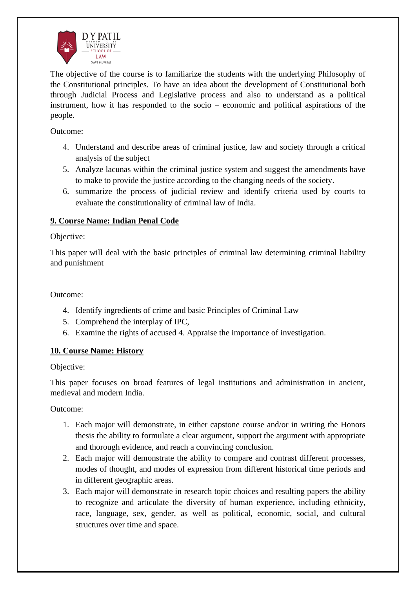

The objective of the course is to familiarize the students with the underlying Philosophy of the Constitutional principles. To have an idea about the development of Constitutional both through Judicial Process and Legislative process and also to understand as a political instrument, how it has responded to the socio – economic and political aspirations of the people.

Outcome:

- 4. Understand and describe areas of criminal justice, law and society through a critical analysis of the subject
- 5. Analyze lacunas within the criminal justice system and suggest the amendments have to make to provide the justice according to the changing needs of the society.
- 6. summarize the process of judicial review and identify criteria used by courts to evaluate the constitutionality of criminal law of India.

## **9. Course Name: Indian Penal Code**

### Objective:

This paper will deal with the basic principles of criminal law determining criminal liability and punishment

Outcome:

- 4. Identify ingredients of crime and basic Principles of Criminal Law
- 5. Comprehend the interplay of IPC,
- 6. Examine the rights of accused 4. Appraise the importance of investigation.

### **10. Course Name: History**

Objective:

This paper focuses on broad features of legal institutions and administration in ancient, medieval and modern India.

- 1. Each major will demonstrate, in either capstone course and/or in writing the Honors thesis the ability to formulate a clear argument, support the argument with appropriate and thorough evidence, and reach a convincing conclusion.
- 2. Each major will demonstrate the ability to compare and contrast different processes, modes of thought, and modes of expression from different historical time periods and in different geographic areas.
- 3. Each major will demonstrate in research topic choices and resulting papers the ability to recognize and articulate the diversity of human experience, including ethnicity, race, language, sex, gender, as well as political, economic, social, and cultural structures over time and space.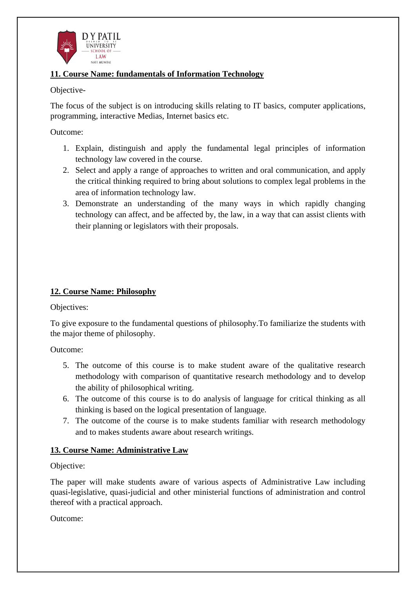

### **11. Course Name: fundamentals of Information Technology**

### Objective-

The focus of the subject is on introducing skills relating to IT basics, computer applications, programming, interactive Medias, Internet basics etc.

### Outcome:

- 1. Explain, distinguish and apply the fundamental legal principles of information technology law covered in the course.
- 2. Select and apply a range of approaches to written and oral communication, and apply the critical thinking required to bring about solutions to complex legal problems in the area of information technology law.
- 3. Demonstrate an understanding of the many ways in which rapidly changing technology can affect, and be affected by, the law, in a way that can assist clients with their planning or legislators with their proposals.

## **12. Course Name: Philosophy**

Objectives:

To give exposure to the fundamental questions of philosophy.To familiarize the students with the major theme of philosophy.

Outcome:

- 5. The outcome of this course is to make student aware of the qualitative research methodology with comparison of quantitative research methodology and to develop the ability of philosophical writing.
- 6. The outcome of this course is to do analysis of language for critical thinking as all thinking is based on the logical presentation of language.
- 7. The outcome of the course is to make students familiar with research methodology and to makes students aware about research writings.

## **13. Course Name: Administrative Law**

Objective:

The paper will make students aware of various aspects of Administrative Law including quasi-legislative, quasi-judicial and other ministerial functions of administration and control thereof with a practical approach.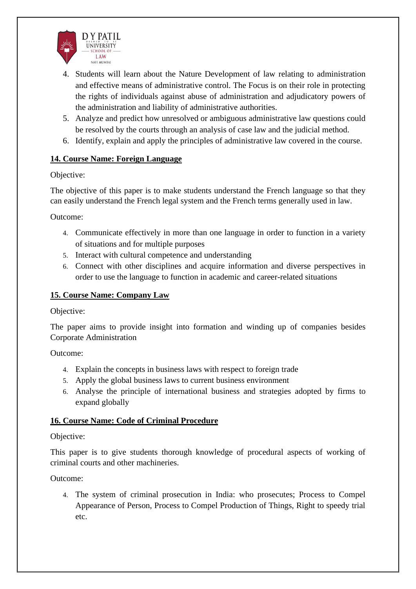

- 4. Students will learn about the Nature Development of law relating to administration and effective means of administrative control. The Focus is on their role in protecting the rights of individuals against abuse of administration and adjudicatory powers of the administration and liability of administrative authorities.
- 5. Analyze and predict how unresolved or ambiguous administrative law questions could be resolved by the courts through an analysis of case law and the judicial method.
- 6. Identify, explain and apply the principles of administrative law covered in the course.

### **14. Course Name: Foreign Language**

### Objective:

The objective of this paper is to make students understand the French language so that they can easily understand the French legal system and the French terms generally used in law.

Outcome:

- 4. Communicate effectively in more than one language in order to function in a variety of situations and for multiple purposes
- 5. Interact with cultural competence and understanding
- 6. Connect with other disciplines and acquire information and diverse perspectives in order to use the language to function in academic and career-related situations

### **15. Course Name: Company Law**

Objective:

The paper aims to provide insight into formation and winding up of companies besides Corporate Administration

Outcome:

- 4. Explain the concepts in business laws with respect to foreign trade
- 5. Apply the global business laws to current business environment
- 6. Analyse the principle of international business and strategies adopted by firms to expand globally

### **16. Course Name: Code of Criminal Procedure**

### Objective:

This paper is to give students thorough knowledge of procedural aspects of working of criminal courts and other machineries.

Outcome:

4. The system of criminal prosecution in India: who prosecutes; Process to Compel Appearance of Person, Process to Compel Production of Things, Right to speedy trial etc.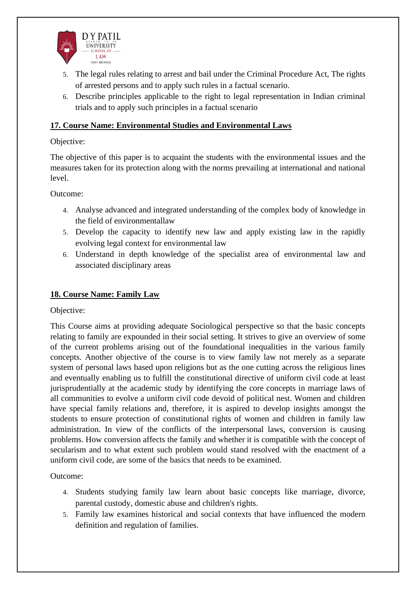

- 5. The legal rules relating to arrest and bail under the Criminal Procedure Act, The rights of arrested persons and to apply such rules in a factual scenario.
- 6. Describe principles applicable to the right to legal representation in Indian criminal trials and to apply such principles in a factual scenario

### **17. Course Name: Environmental Studies and Environmental Laws**

### Objective:

The objective of this paper is to acquaint the students with the environmental issues and the measures taken for its protection along with the norms prevailing at international and national level.

Outcome:

- 4. Analyse advanced and integrated understanding of the complex body of knowledge in the field of environmentallaw
- 5. Develop the capacity to identify new law and apply existing law in the rapidly evolving legal context for environmental law
- 6. Understand in depth knowledge of the specialist area of environmental law and associated disciplinary areas

## **18. Course Name: Family Law**

Objective:

This Course aims at providing adequate Sociological perspective so that the basic concepts relating to family are expounded in their social setting. It strives to give an overview of some of the current problems arising out of the foundational inequalities in the various family concepts. Another objective of the course is to view family law not merely as a separate system of personal laws based upon religions but as the one cutting across the religious lines and eventually enabling us to fulfill the constitutional directive of uniform civil code at least jurisprudentially at the academic study by identifying the core concepts in marriage laws of all communities to evolve a uniform civil code devoid of political nest. Women and children have special family relations and, therefore, it is aspired to develop insights amongst the students to ensure protection of constitutional rights of women and children in family law administration. In view of the conflicts of the interpersonal laws, conversion is causing problems. How conversion affects the family and whether it is compatible with the concept of secularism and to what extent such problem would stand resolved with the enactment of a uniform civil code, are some of the basics that needs to be examined.

- 4. Students studying family law learn about basic concepts like marriage, divorce, parental custody, domestic abuse and children's rights.
- 5. Family law examines historical and social contexts that have influenced the modern definition and regulation of families.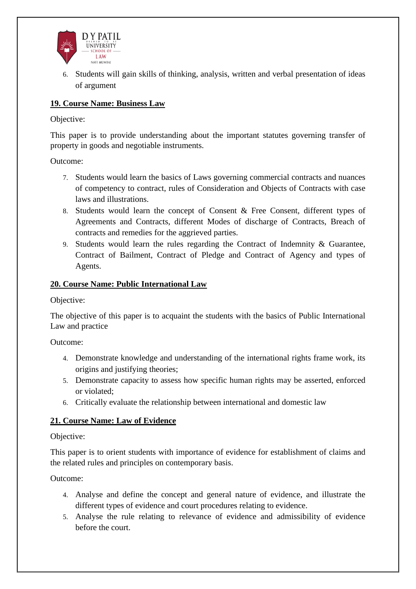

6. Students will gain skills of thinking, analysis, written and verbal presentation of ideas of argument

## **19. Course Name: Business Law**

Objective:

This paper is to provide understanding about the important statutes governing transfer of property in goods and negotiable instruments.

Outcome:

- 7. Students would learn the basics of Laws governing commercial contracts and nuances of competency to contract, rules of Consideration and Objects of Contracts with case laws and illustrations.
- 8. Students would learn the concept of Consent & Free Consent, different types of Agreements and Contracts, different Modes of discharge of Contracts, Breach of contracts and remedies for the aggrieved parties.
- 9. Students would learn the rules regarding the Contract of Indemnity & Guarantee, Contract of Bailment, Contract of Pledge and Contract of Agency and types of Agents.

### **20. Course Name: Public International Law**

Objective:

The objective of this paper is to acquaint the students with the basics of Public International Law and practice

Outcome:

- 4. Demonstrate knowledge and understanding of the international rights frame work, its origins and justifying theories;
- 5. Demonstrate capacity to assess how specific human rights may be asserted, enforced or violated;
- 6. Critically evaluate the relationship between international and domestic law

## **21. Course Name: Law of Evidence**

### Objective:

This paper is to orient students with importance of evidence for establishment of claims and the related rules and principles on contemporary basis.

- 4. Analyse and define the concept and general nature of evidence, and illustrate the different types of evidence and court procedures relating to evidence.
- 5. Analyse the rule relating to relevance of evidence and admissibility of evidence before the court.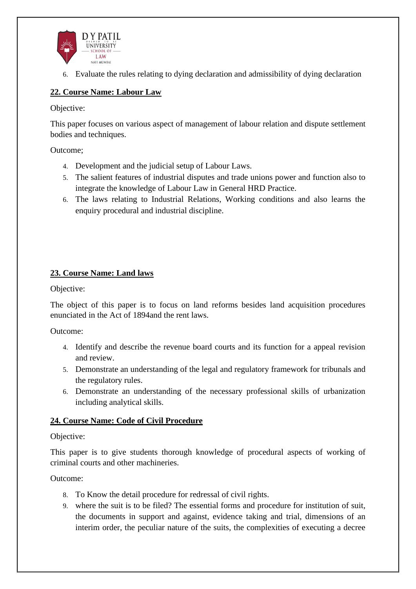

6. Evaluate the rules relating to dying declaration and admissibility of dying declaration

## **22. Course Name: Labour Law**

Objective:

This paper focuses on various aspect of management of labour relation and dispute settlement bodies and techniques.

Outcome;

- 4. Development and the judicial setup of Labour Laws.
- 5. The salient features of industrial disputes and trade unions power and function also to integrate the knowledge of Labour Law in General HRD Practice.
- 6. The laws relating to Industrial Relations, Working conditions and also learns the enquiry procedural and industrial discipline.

### **23. Course Name: Land laws**

Objective:

The object of this paper is to focus on land reforms besides land acquisition procedures enunciated in the Act of 1894and the rent laws.

Outcome:

- 4. Identify and describe the revenue board courts and its function for a appeal revision and review.
- 5. Demonstrate an understanding of the legal and regulatory framework for tribunals and the regulatory rules.
- 6. Demonstrate an understanding of the necessary professional skills of urbanization including analytical skills.

### **24. Course Name: Code of Civil Procedure**

### Objective:

This paper is to give students thorough knowledge of procedural aspects of working of criminal courts and other machineries.

- 8. To Know the detail procedure for redressal of civil rights.
- 9. where the suit is to be filed? The essential forms and procedure for institution of suit, the documents in support and against, evidence taking and trial, dimensions of an interim order, the peculiar nature of the suits, the complexities of executing a decree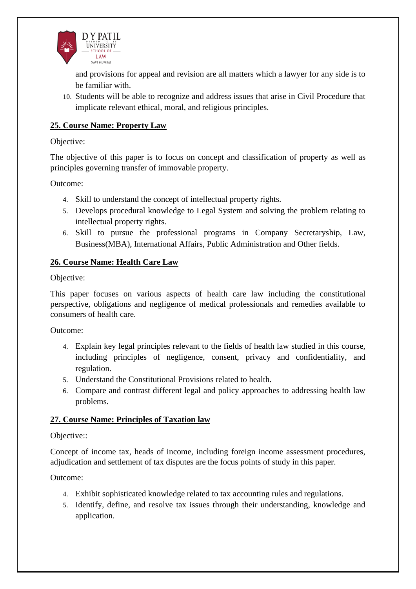

and provisions for appeal and revision are all matters which a lawyer for any side is to be familiar with.

10. Students will be able to recognize and address issues that arise in Civil Procedure that implicate relevant ethical, moral, and religious principles.

### **25. Course Name: Property Law**

#### Objective:

The objective of this paper is to focus on concept and classification of property as well as principles governing transfer of immovable property.

Outcome:

- 4. Skill to understand the concept of intellectual property rights.
- 5. Develops procedural knowledge to Legal System and solving the problem relating to intellectual property rights.
- 6. Skill to pursue the professional programs in Company Secretaryship, Law, Business(MBA), International Affairs, Public Administration and Other fields.

#### **26. Course Name: Health Care Law**

#### Objective:

This paper focuses on various aspects of health care law including the constitutional perspective, obligations and negligence of medical professionals and remedies available to consumers of health care.

Outcome:

- 4. Explain key legal principles relevant to the fields of health law studied in this course, including principles of negligence, consent, privacy and confidentiality, and regulation.
- 5. Understand the Constitutional Provisions related to health.
- 6. Compare and contrast different legal and policy approaches to addressing health law problems.

#### **27. Course Name: Principles of Taxation law**

#### Objective::

Concept of income tax, heads of income, including foreign income assessment procedures, adjudication and settlement of tax disputes are the focus points of study in this paper.

- 4. Exhibit sophisticated knowledge related to tax accounting rules and regulations.
- 5. Identify, define, and resolve tax issues through their understanding, knowledge and application.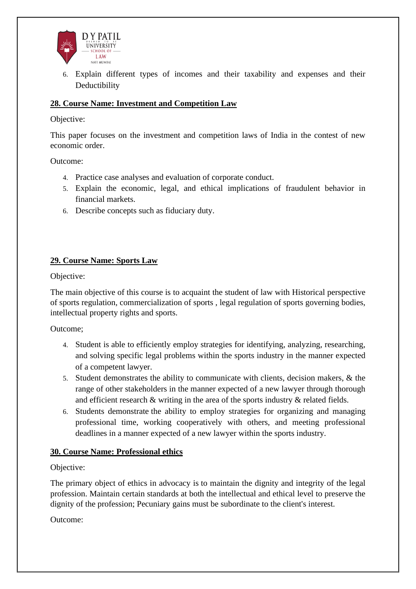

6. Explain different types of incomes and their taxability and expenses and their Deductibility

### **28. Course Name: Investment and Competition Law**

#### Objective:

This paper focuses on the investment and competition laws of India in the contest of new economic order.

Outcome:

- 4. Practice case analyses and evaluation of corporate conduct.
- 5. Explain the economic, legal, and ethical implications of fraudulent behavior in financial markets.
- 6. Describe concepts such as fiduciary duty.

#### **29. Course Name: Sports Law**

Objective:

The main objective of this course is to acquaint the student of law with Historical perspective of sports regulation, commercialization of sports , legal regulation of sports governing bodies, intellectual property rights and sports.

Outcome;

- 4. Student is able to efficiently employ strategies for identifying, analyzing, researching, and solving specific legal problems within the sports industry in the manner expected of a competent lawyer.
- 5. Student demonstrates the ability to communicate with clients, decision makers, & the range of other stakeholders in the manner expected of a new lawyer through thorough and efficient research & writing in the area of the sports industry & related fields.
- 6. Students demonstrate the ability to employ strategies for organizing and managing professional time, working cooperatively with others, and meeting professional deadlines in a manner expected of a new lawyer within the sports industry.

### **30. Course Name: Professional ethics**

#### Objective:

The primary object of ethics in advocacy is to maintain the dignity and integrity of the legal profession. Maintain certain standards at both the intellectual and ethical level to preserve the dignity of the profession; Pecuniary gains must be subordinate to the client's interest.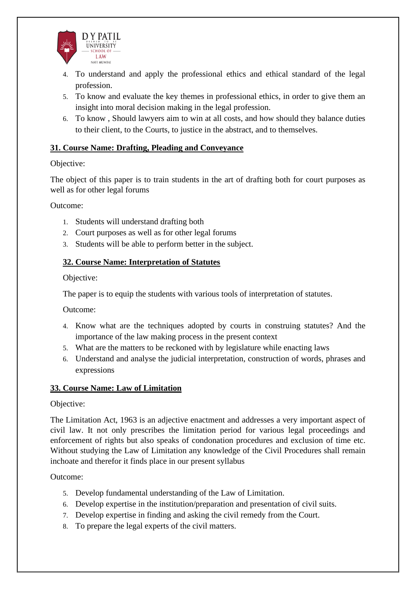

- 4. To understand and apply the professional ethics and ethical standard of the legal profession.
- 5. To know and evaluate the key themes in professional ethics, in order to give them an insight into moral decision making in the legal profession.
- 6. To know , Should lawyers aim to win at all costs, and how should they balance duties to their client, to the Courts, to justice in the abstract, and to themselves.

### **31. Course Name: Drafting, Pleading and Conveyance**

### Objective:

The object of this paper is to train students in the art of drafting both for court purposes as well as for other legal forums

Outcome:

- 1. Students will understand drafting both
- 2. Court purposes as well as for other legal forums
- 3. Students will be able to perform better in the subject.

### **32. Course Name: Interpretation of Statutes**

Objective:

The paper is to equip the students with various tools of interpretation of statutes.

Outcome:

- 4. Know what are the techniques adopted by courts in construing statutes? And the importance of the law making process in the present context
- 5. What are the matters to be reckoned with by legislature while enacting laws
- 6. Understand and analyse the judicial interpretation, construction of words, phrases and expressions

### **33. Course Name: Law of Limitation**

Objective:

The Limitation Act, 1963 is an adjective enactment and addresses a very important aspect of civil law. It not only prescribes the limitation period for various legal proceedings and enforcement of rights but also speaks of condonation procedures and exclusion of time etc. Without studying the Law of Limitation any knowledge of the Civil Procedures shall remain inchoate and therefor it finds place in our present syllabus

- 5. Develop fundamental understanding of the Law of Limitation.
- 6. Develop expertise in the institution/preparation and presentation of civil suits.
- 7. Develop expertise in finding and asking the civil remedy from the Court.
- 8. To prepare the legal experts of the civil matters.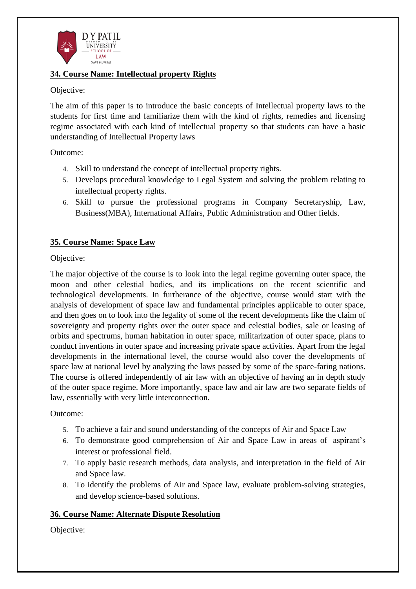

#### **34. Course Name: Intellectual property Rights**

#### Objective:

The aim of this paper is to introduce the basic concepts of Intellectual property laws to the students for first time and familiarize them with the kind of rights, remedies and licensing regime associated with each kind of intellectual property so that students can have a basic understanding of Intellectual Property laws

Outcome:

- 4. Skill to understand the concept of intellectual property rights.
- 5. Develops procedural knowledge to Legal System and solving the problem relating to intellectual property rights.
- 6. Skill to pursue the professional programs in Company Secretaryship, Law, Business(MBA), International Affairs, Public Administration and Other fields.

### **35. Course Name: Space Law**

#### Objective:

The major objective of the course is to look into the legal regime governing outer space, the moon and other celestial bodies, and its implications on the recent scientific and technological developments. In furtherance of the objective, course would start with the analysis of development of space law and fundamental principles applicable to outer space, and then goes on to look into the legality of some of the recent developments like the claim of sovereignty and property rights over the outer space and celestial bodies, sale or leasing of orbits and spectrums, human habitation in outer space, militarization of outer space, plans to conduct inventions in outer space and increasing private space activities. Apart from the legal developments in the international level, the course would also cover the developments of space law at national level by analyzing the laws passed by some of the space-faring nations. The course is offered independently of air law with an objective of having an in depth study of the outer space regime. More importantly, space law and air law are two separate fields of law, essentially with very little interconnection.

### Outcome:

- 5. To achieve a fair and sound understanding of the concepts of Air and Space Law
- 6. To demonstrate good comprehension of Air and Space Law in areas of aspirant's interest or professional field.
- 7. To apply basic research methods, data analysis, and interpretation in the field of Air and Space law.
- 8. To identify the problems of Air and Space law, evaluate problem-solving strategies, and develop science-based solutions.

### **36. Course Name: Alternate Dispute Resolution**

Objective: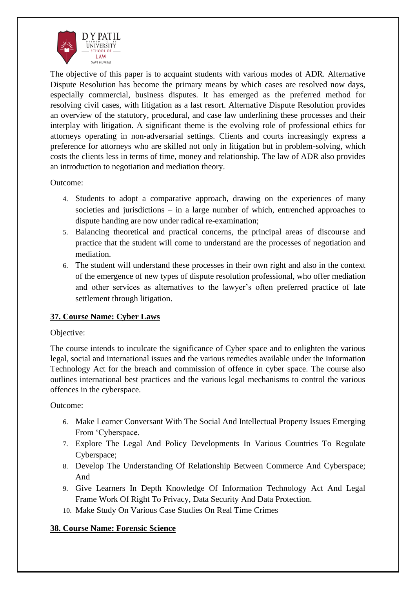

The objective of this paper is to acquaint students with various modes of ADR. Alternative Dispute Resolution has become the primary means by which cases are resolved now days, especially commercial, business disputes. It has emerged as the preferred method for resolving civil cases, with litigation as a last resort. Alternative Dispute Resolution provides an overview of the statutory, procedural, and case law underlining these processes and their interplay with litigation. A significant theme is the evolving role of professional ethics for attorneys operating in non-adversarial settings. Clients and courts increasingly express a preference for attorneys who are skilled not only in litigation but in problem-solving, which costs the clients less in terms of time, money and relationship. The law of ADR also provides an introduction to negotiation and mediation theory.

Outcome:

- 4. Students to adopt a comparative approach, drawing on the experiences of many societies and jurisdictions – in a large number of which, entrenched approaches to dispute handing are now under radical re-examination;
- 5. Balancing theoretical and practical concerns, the principal areas of discourse and practice that the student will come to understand are the processes of negotiation and mediation.
- 6. The student will understand these processes in their own right and also in the context of the emergence of new types of dispute resolution professional, who offer mediation and other services as alternatives to the lawyer's often preferred practice of late settlement through litigation.

## **37. Course Name: Cyber Laws**

### Objective:

The course intends to inculcate the significance of Cyber space and to enlighten the various legal, social and international issues and the various remedies available under the Information Technology Act for the breach and commission of offence in cyber space. The course also outlines international best practices and the various legal mechanisms to control the various offences in the cyberspace.

### Outcome:

- 6. Make Learner Conversant With The Social And Intellectual Property Issues Emerging From 'Cyberspace.
- 7. Explore The Legal And Policy Developments In Various Countries To Regulate Cyberspace;
- 8. Develop The Understanding Of Relationship Between Commerce And Cyberspace; And
- 9. Give Learners In Depth Knowledge Of Information Technology Act And Legal Frame Work Of Right To Privacy, Data Security And Data Protection.
- 10. Make Study On Various Case Studies On Real Time Crimes

## **38. Course Name: Forensic Science**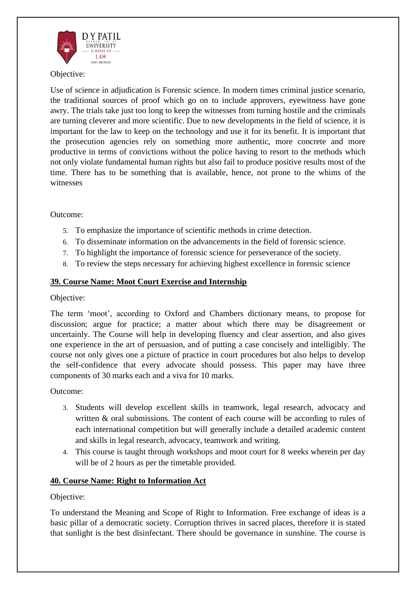

### Objective:

Use of science in adjudication is Forensic science. In modern times criminal justice scenario, the traditional sources of proof which go on to include approvers, eyewitness have gone awry. The trials take just too long to keep the witnesses from turning hostile and the criminals are turning cleverer and more scientific. Due to new developments in the field of science, it is important for the law to keep on the technology and use it for its benefit. It is important that the prosecution agencies rely on something more authentic, more concrete and more productive in terms of convictions without the police having to resort to the methods which not only violate fundamental human rights but also fail to produce positive results most of the time. There has to be something that is available, hence, not prone to the whims of the witnesses

### Outcome:

- 5. To emphasize the importance of scientific methods in crime detection.
- 6. To disseminate information on the advancements in the field of forensic science.
- 7. To highlight the importance of forensic science for perseverance of the society.
- 8. To review the steps necessary for achieving highest excellence in forensic science

#### **39. Course Name: Moot Court Exercise and Internship**

#### Objective:

The term 'moot', according to Oxford and Chambers dictionary means, to propose for discussion; argue for practice; a matter about which there may be disagreement or uncertainly. The Course will help in developing fluency and clear assertion, and also gives one experience in the art of persuasion, and of putting a case concisely and intelligibly. The course not only gives one a picture of practice in court procedures but also helps to develop the self-confidence that every advocate should possess. This paper may have three components of 30 marks each and a viva for 10 marks.

### Outcome:

- 3. Students will develop excellent skills in teamwork, legal research, advocacy and written & oral submissions. The content of each course will be according to rules of each international competition but will generally include a detailed academic content and skills in legal research, advocacy, teamwork and writing.
- 4. This course is taught through workshops and moot court for 8 weeks wherein per day will be of 2 hours as per the timetable provided.

### **40. Course Name: Right to Information Act**

### Objective:

To understand the Meaning and Scope of Right to Information. Free exchange of ideas is a basic pillar of a democratic society. Corruption thrives in sacred places, therefore it is stated that sunlight is the best disinfectant. There should be governance in sunshine. The course is